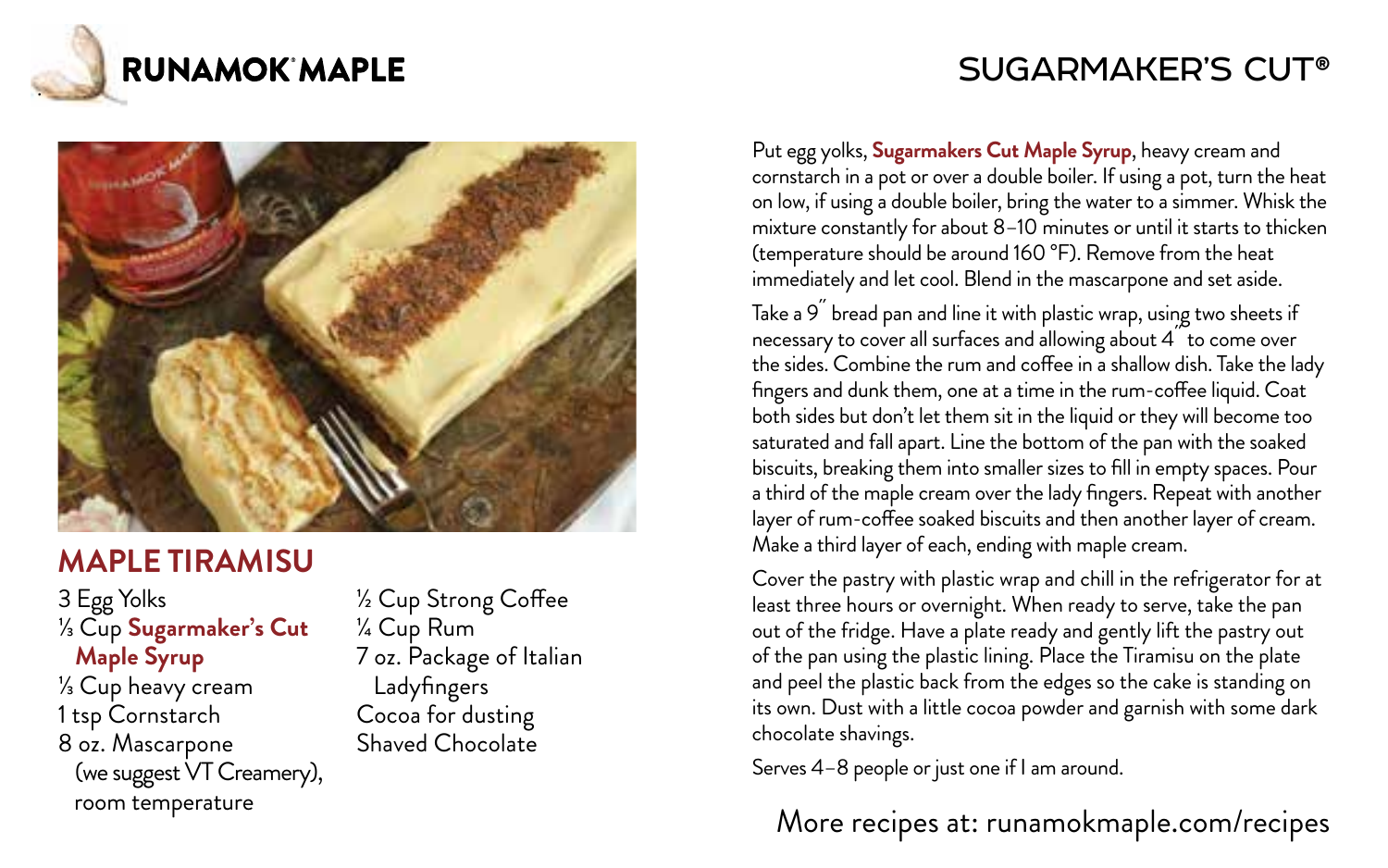

# SUGARMAKER'S CUT®



### **MAPLE TIRAMISU**

3 Egg Yolks ⅓ Cup **Sugarmaker's Cut Maple Syrup** ⅓ Cup heavy cream 1 tsp Cornstarch 8 oz. Mascarpone (we suggest VT Creamery), room temperature

½ Cup Strong Coffee ¼ Cup Rum 7 oz. Package of Italian Ladyfingers Cocoa for dusting Shaved Chocolate

Put egg yolks, **Sugarmakers Cut Maple Syrup**, heavy cream and cornstarch in a pot or over a double boiler. If using a pot, turn the heat on low, if using a double boiler, bring the water to a simmer. Whisk the mixture constantly for about 8–10 minutes or until it starts to thicken (temperature should be around 160 °F). Remove from the heat immediately and let cool. Blend in the mascarpone and set aside.

Take a 9<sup>"</sup> bread pan and line it with plastic wrap, using two sheets if necessary to cover all surfaces and allowing about 4 to come over the sides. Combine the rum and coffee in a shallow dish. Take the lady fingers and dunk them, one at a time in the rum-coffee liquid. Coat both sides but don't let them sit in the liquid or they will become too saturated and fall apart. Line the bottom of the pan with the soaked biscuits, breaking them into smaller sizes to fill in empty spaces. Pour a third of the maple cream over the lady fingers. Repeat with another layer of rum-coffee soaked biscuits and then another layer of cream. Make a third layer of each, ending with maple cream.

Cover the pastry with plastic wrap and chill in the refrigerator for at least three hours or overnight. When ready to serve, take the pan out of the fridge. Have a plate ready and gently lift the pastry out of the pan using the plastic lining. Place the Tiramisu on the plate and peel the plastic back from the edges so the cake is standing on its own. Dust with a little cocoa powder and garnish with some dark chocolate shavings.

Serves 4–8 people or just one if I am around.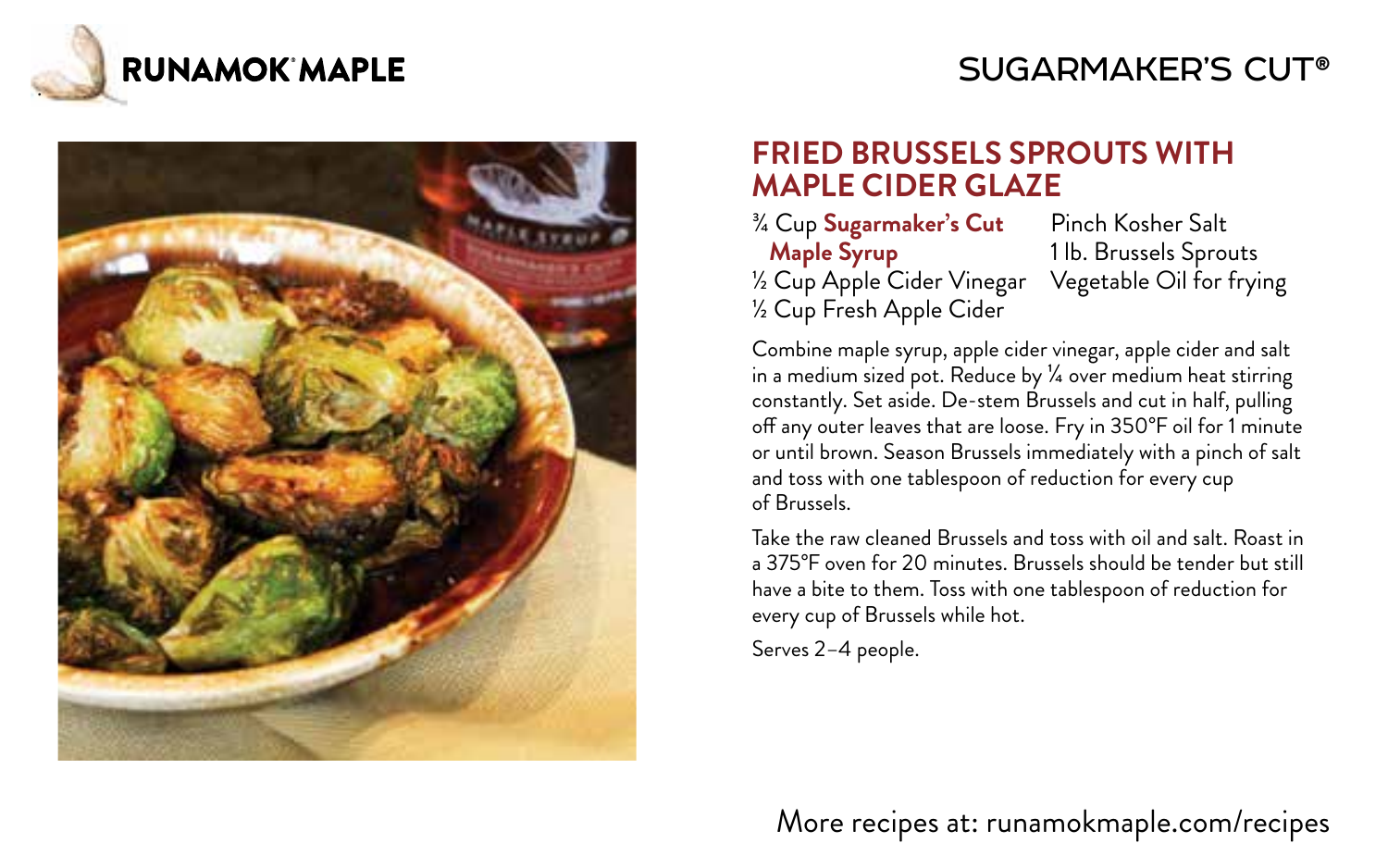

# SUGARMAKER'S CUT®



#### **FRIED BRUSSELS SPROUTS WITH MAPLE CIDER GLAZE**

¾ Cup **Sugarmaker's Cut Maple Syrup** ½ Cup Apple Cider Vinegar ½ Cup Fresh Apple Cider

Pinch Kosher Salt 1 lb. Brussels Sprouts Vegetable Oil for frying

Combine maple syrup, apple cider vinegar, apple cider and salt in a medium sized pot. Reduce by ¼ over medium heat stirring constantly. Set aside. De-stem Brussels and cut in half, pulling off any outer leaves that are loose. Fry in 350°F oil for 1 minute or until brown. Season Brussels immediately with a pinch of salt and toss with one tablespoon of reduction for every cup of Brussels.

Take the raw cleaned Brussels and toss with oil and salt. Roast in a 375°F oven for 20 minutes. Brussels should be tender but still have a bite to them. Toss with one tablespoon of reduction for every cup of Brussels while hot.

Serves 2–4 people.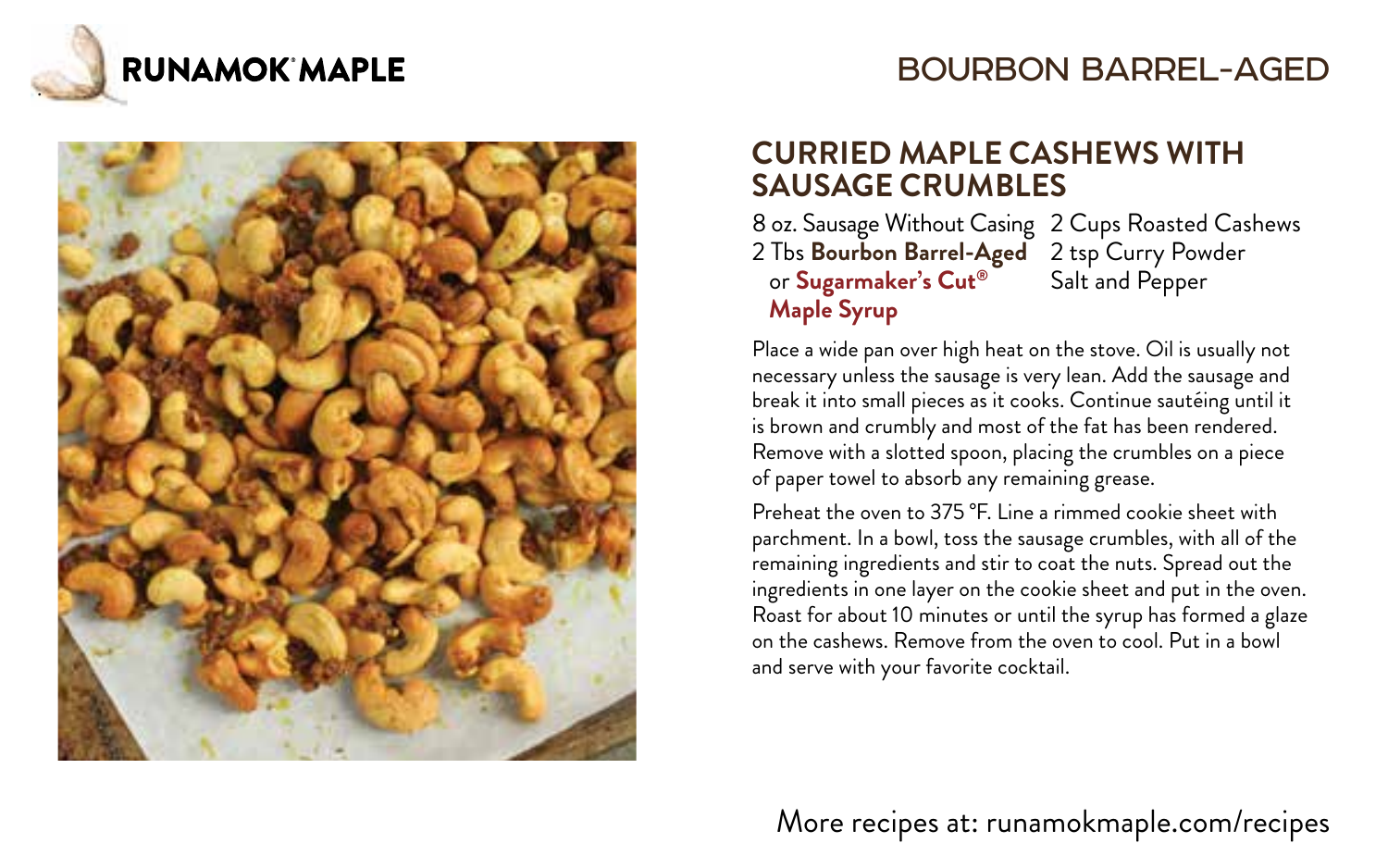

### BOURBON BARREL-AGED



#### **CURRIED MAPLE CASHEWS WITH SAUSAGE CRUMBLES**

8 oz. Sausage Without Casing 2 Cups Roasted Cashews 2 Tbs **Bourbon Barrel-Aged** 2 tsp Curry Powder or **Sugarmaker's Cut® Maple Syrup** Salt and Pepper

Place a wide pan over high heat on the stove. Oil is usually not necessary unless the sausage is very lean. Add the sausage and break it into small pieces as it cooks. Continue sautéing until it is brown and crumbly and most of the fat has been rendered. Remove with a slotted spoon, placing the crumbles on a piece of paper towel to absorb any remaining grease.

Preheat the oven to 375 °F. Line a rimmed cookie sheet with parchment. In a bowl, toss the sausage crumbles, with all of the remaining ingredients and stir to coat the nuts. Spread out the ingredients in one layer on the cookie sheet and put in the oven. Roast for about 10 minutes or until the syrup has formed a glaze on the cashews. Remove from the oven to cool. Put in a bowl and serve with your favorite cocktail.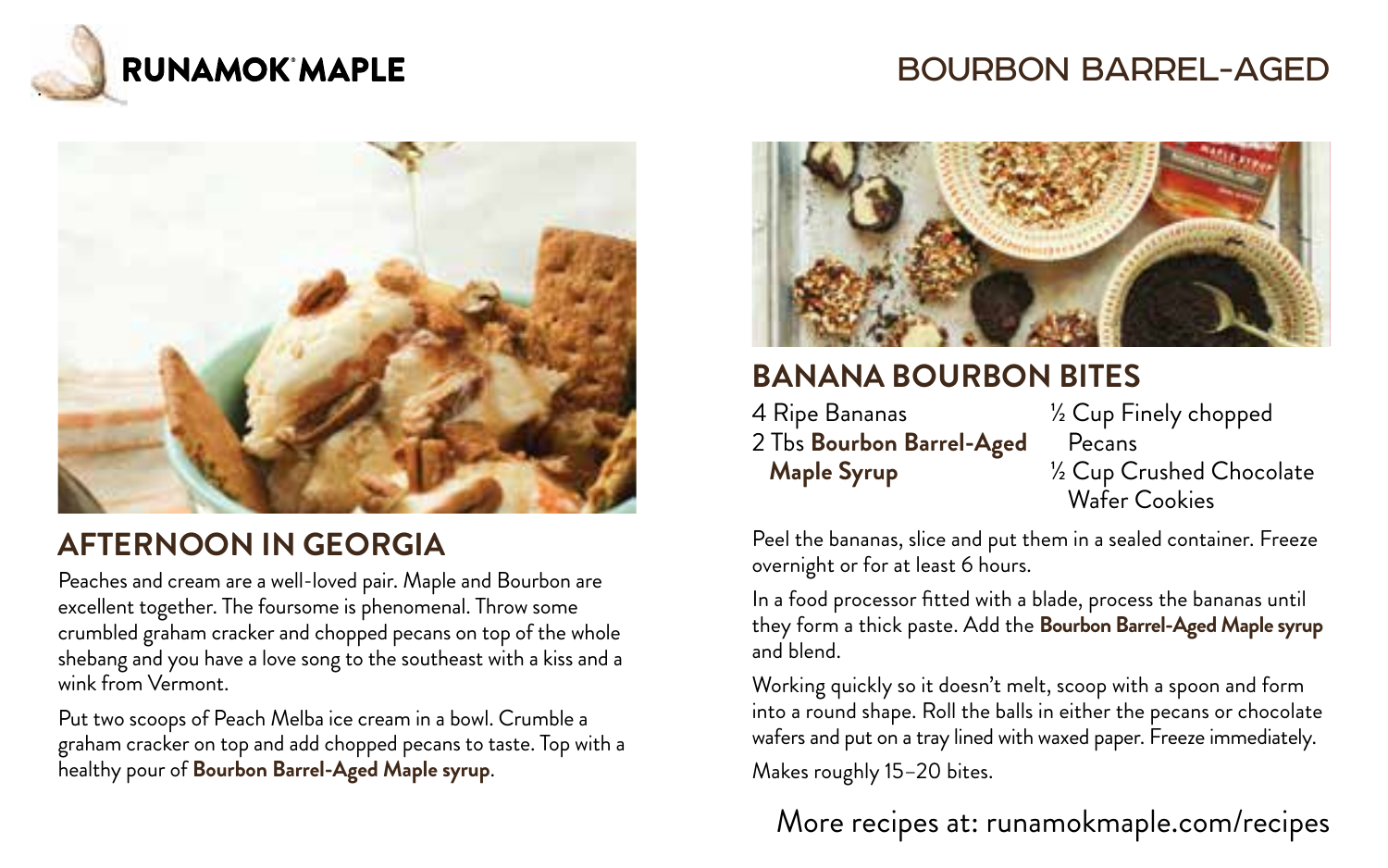

# BOURBON BARREL-AGED



# **AFTERNOON IN GEORGIA**

Peaches and cream are a well-loved pair. Maple and Bourbon are excellent together. The foursome is phenomenal. Throw some crumbled graham cracker and chopped pecans on top of the whole shebang and you have a love song to the southeast with a kiss and a wink from Vermont.

Put two scoops of Peach Melba ice cream in a bowl. Crumble a graham cracker on top and add chopped pecans to taste. Top with a healthy pour of **Bourbon Barrel-Aged Maple syrup**.



# **BANANA BOURBON BITES**

4 Ripe Bananas 2 Tbs **Bourbon Barrel-Aged Maple Syrup**

½ Cup Finely chopped Pecans ½ Cup Crushed Chocolate Wafer Cookies

Peel the bananas, slice and put them in a sealed container. Freeze overnight or for at least 6 hours.

In a food processor fitted with a blade, process the bananas until they form a thick paste. Add the **Bourbon Barrel-Aged Maple syrup** and blend.

Working quickly so it doesn't melt, scoop with a spoon and form into a round shape. Roll the balls in either the pecans or chocolate wafers and put on a tray lined with waxed paper. Freeze immediately. Makes roughly 15–20 bites.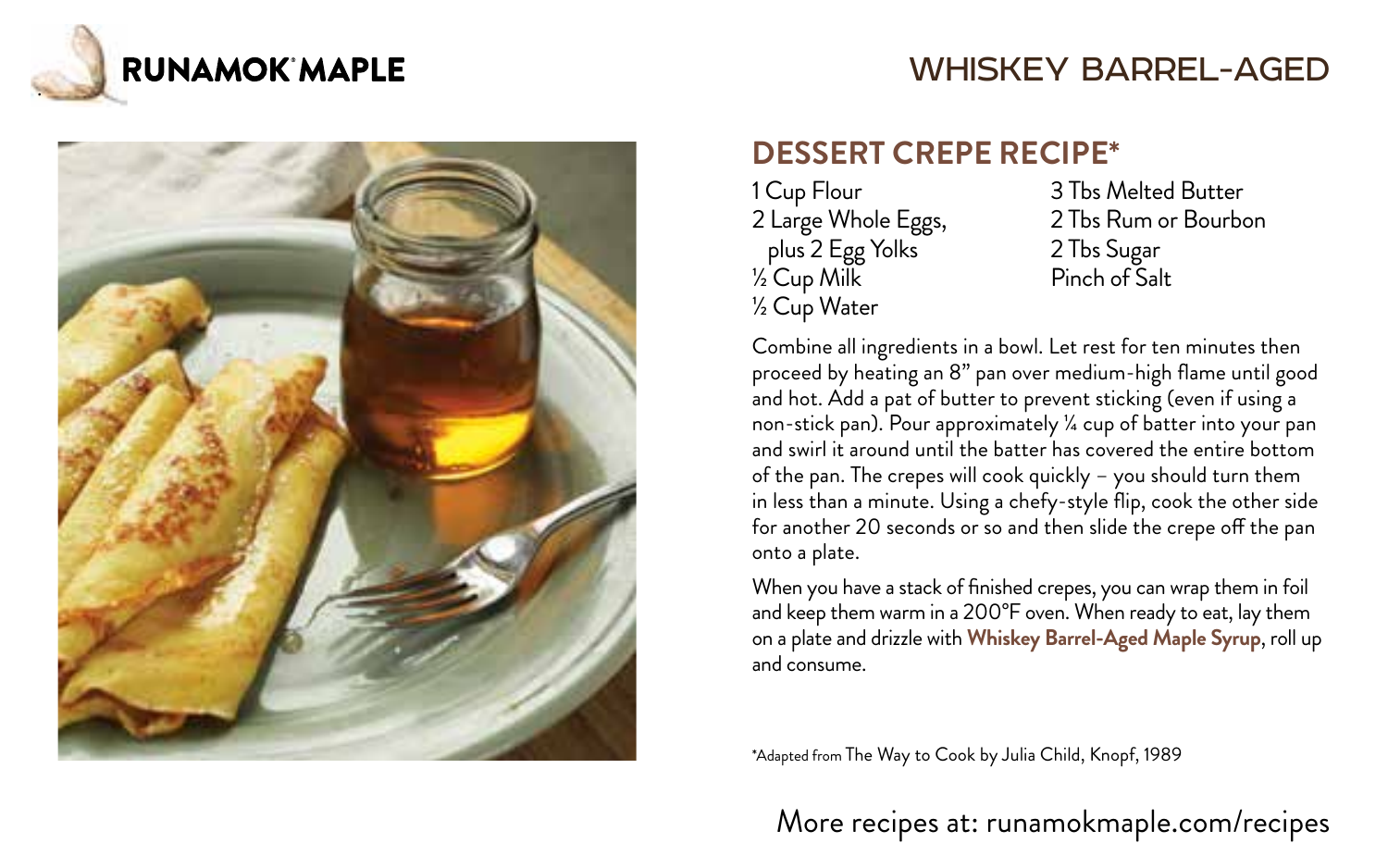

#### WHISKEY BARREL-AGED



#### **DESSERT CREPE RECIPE\***

1 Cup Flour 2 Large Whole Eggs, plus 2 Egg Yolks ½ Cup Milk ½ Cup Water

3 Tbs Melted Butter 2 Tbs Rum or Bourbon 2 Tbs Sugar Pinch of Salt

Combine all ingredients in a bowl. Let rest for ten minutes then proceed by heating an 8" pan over medium-high flame until good and hot. Add a pat of butter to prevent sticking (even if using a non-stick pan). Pour approximately ¼ cup of batter into your pan and swirl it around until the batter has covered the entire bottom of the pan. The crepes will cook quickly – you should turn them in less than a minute. Using a chefy-style flip, cook the other side for another 20 seconds or so and then slide the crepe off the pan onto a plate.

When you have a stack of finished crepes, you can wrap them in foil and keep them warm in a 200°F oven. When ready to eat, lay them on a plate and drizzle with **Whiskey Barrel-Aged Maple Syrup**, roll up and consume.

\*Adapted from The Way to Cook by Julia Child, Knopf, 1989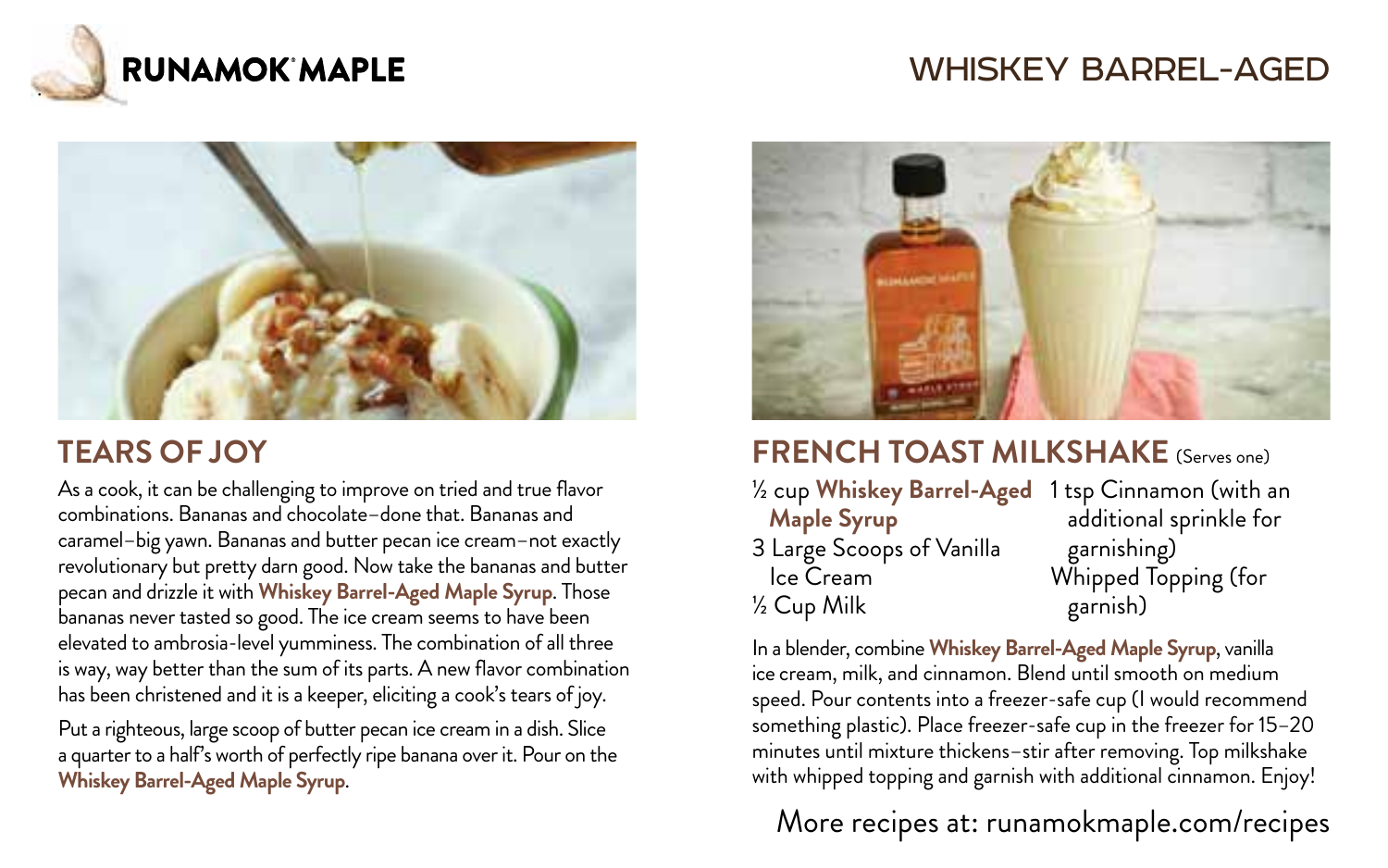

# WHISKEY BARREL-AGED



# **TEARS OF JOY**

As a cook, it can be challenging to improve on tried and true flavor combinations. Bananas and chocolate–done that. Bananas and caramel–big yawn. Bananas and butter pecan ice cream–not exactly revolutionary but pretty darn good. Now take the bananas and butter pecan and drizzle it with **Whiskey Barrel-Aged Maple Syrup**. Those bananas never tasted so good. The ice cream seems to have been elevated to ambrosia-level yumminess. The combination of all three is way, way better than the sum of its parts. A new flavor combination has been christened and it is a keeper, eliciting a cook's tears of joy.

Put a righteous, large scoop of butter pecan ice cream in a dish. Slice a quarter to a half's worth of perfectly ripe banana over it. Pour on the **Whiskey Barrel-Aged Maple Syrup**.



# **FRENCH TOAST MILKSHAKE** (Serves one)

- ½ cup **Whiskey Barrel-Aged** 1 tsp Cinnamon (with an  **Maple Syrup** 3 Large Scoops of Vanilla Ice Cream ½ Cup Milk
	- additional sprinkle for garnishing) Whipped Topping (for garnish)

In a blender, combine **Whiskey Barrel-Aged Maple Syrup**, vanilla ice cream, milk, and cinnamon. Blend until smooth on medium speed. Pour contents into a freezer-safe cup (I would recommend something plastic). Place freezer-safe cup in the freezer for 15–20 minutes until mixture thickens–stir after removing. Top milkshake with whipped topping and garnish with additional cinnamon. Enjoy!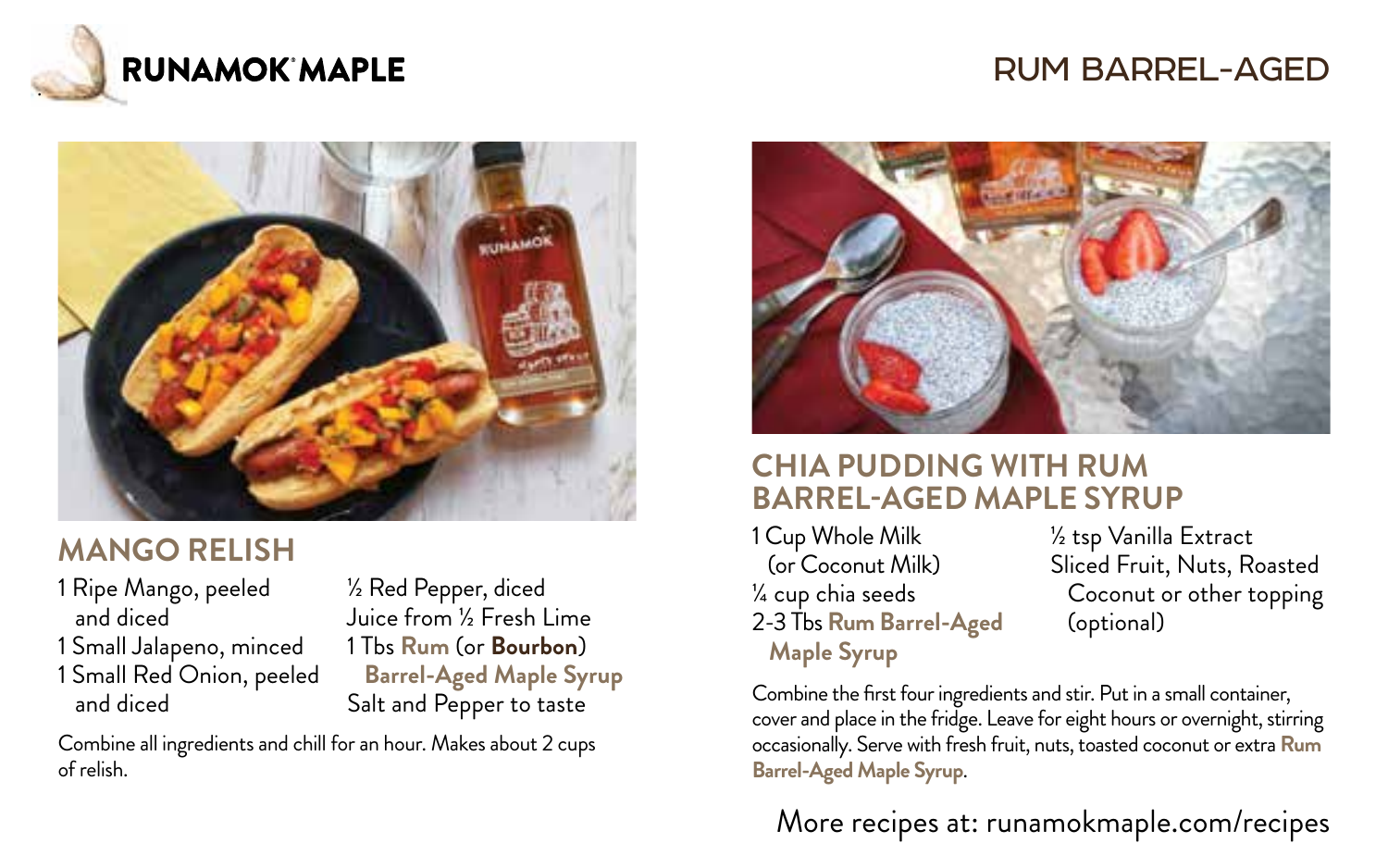

# RUM BARREL-AGED



### **MANGO RELISH**

- 1 Ripe Mango, peeled ½ Red Pepper, diced
- 1 Small Jalapeno, minced 1 Tbs **Rum** (or **Bourbon**)
- 

 and diced Juice from ½ Fresh Lime 1 Small Red Onion, peeled **Barrel-Aged Maple Syrup** and diced Salt and Pepper to taste

Combine all ingredients and chill for an hour. Makes about 2 cups of relish.



#### **CHIA PUDDING WITH RUM BARREL-AGED MAPLE SYRUP**

1 Cup Whole Milk (or Coconut Milk) ¼ cup chia seeds 2-3 Tbs **Rum Barrel-Aged Maple Syrup**

½ tsp Vanilla Extract Sliced Fruit, Nuts, Roasted Coconut or other topping (optional)

Combine the first four ingredients and stir. Put in a small container, cover and place in the fridge. Leave for eight hours or overnight, stirring occasionally. Serve with fresh fruit, nuts, toasted coconut or extra **Rum Barrel-Aged Maple Syrup**.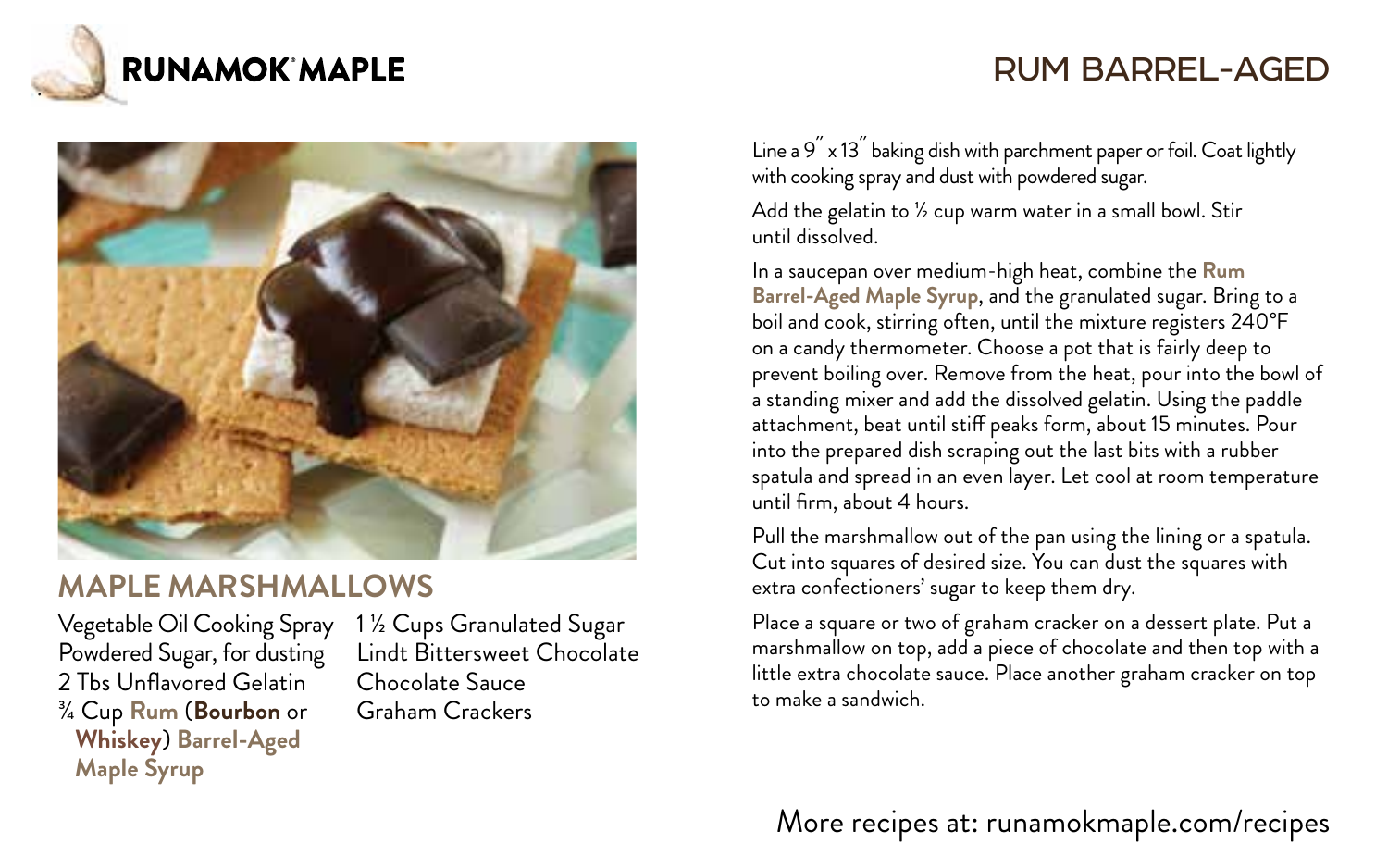

# RUM BARREL-AGED



#### **MAPLE MARSHMALLOWS**

Vegetable Oil Cooking Spray Powdered Sugar, for dusting 2 Tbs Unflavored Gelatin ¾ Cup **Rum** (**Bourbon** or **Whiskey**) **Barrel-Aged Maple Syrup**

1 ½ Cups Granulated Sugar Lindt Bittersweet Chocolate Chocolate Sauce Graham Crackers

Line a  $9^{''}$  x 13 $^{''}$  baking dish with parchment paper or foil. Coat lightly with cooking spray and dust with powdered sugar.

Add the gelatin to ½ cup warm water in a small bowl. Stir until dissolved.

In a saucepan over medium-high heat, combine the **Rum Barrel-Aged Maple Syrup**, and the granulated sugar. Bring to a boil and cook, stirring often, until the mixture registers 240°F on a candy thermometer. Choose a pot that is fairly deep to prevent boiling over. Remove from the heat, pour into the bowl of a standing mixer and add the dissolved gelatin. Using the paddle attachment, beat until stiff peaks form, about 15 minutes. Pour into the prepared dish scraping out the last bits with a rubber spatula and spread in an even layer. Let cool at room temperature until firm, about 4 hours.

Pull the marshmallow out of the pan using the lining or a spatula. Cut into squares of desired size. You can dust the squares with extra confectioners' sugar to keep them dry.

Place a square or two of graham cracker on a dessert plate. Put a marshmallow on top, add a piece of chocolate and then top with a little extra chocolate sauce. Place another graham cracker on top to make a sandwich.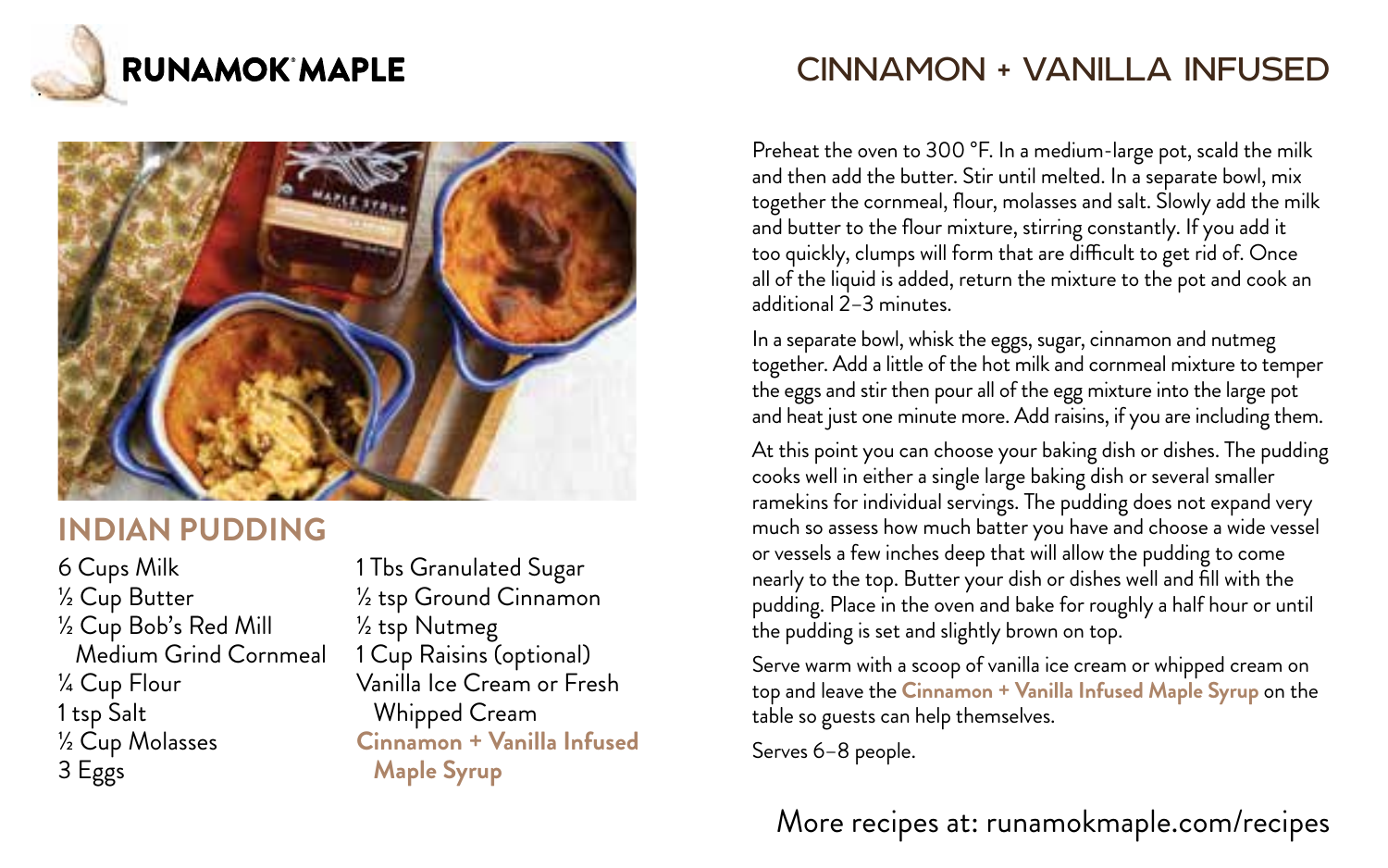



#### **INDIAN PUDDING**

6 Cups Milk ½ Cup Butter ½ Cup Bob's Red Mill Medium Grind Cornmeal ¼ Cup Flour 1 tsp Salt ½ Cup Molasses 3 Eggs

1 Tbs Granulated Sugar ½ tsp Ground Cinnamon ½ tsp Nutmeg 1 Cup Raisins (optional) Vanilla Ice Cream or Fresh Whipped Cream **Cinnamon + Vanilla Infused Maple Syrup**

# CINNAMON + VANILLA INFUSED

Preheat the oven to 300 °F. In a medium-large pot, scald the milk and then add the butter. Stir until melted. In a separate bowl, mix together the cornmeal, flour, molasses and salt. Slowly add the milk and butter to the flour mixture, stirring constantly. If you add it too quickly, clumps will form that are difficult to get rid of. Once all of the liquid is added, return the mixture to the pot and cook an additional 2–3 minutes.

In a separate bowl, whisk the eggs, sugar, cinnamon and nutmeg together. Add a little of the hot milk and cornmeal mixture to temper the eggs and stir then pour all of the egg mixture into the large pot and heat just one minute more. Add raisins, if you are including them.

At this point you can choose your baking dish or dishes. The pudding cooks well in either a single large baking dish or several smaller ramekins for individual servings. The pudding does not expand very much so assess how much batter you have and choose a wide vessel or vessels a few inches deep that will allow the pudding to come nearly to the top. Butter your dish or dishes well and fill with the pudding. Place in the oven and bake for roughly a half hour or until the pudding is set and slightly brown on top.

Serve warm with a scoop of vanilla ice cream or whipped cream on top and leave the **Cinnamon + Vanilla Infused Maple Syrup** on the table so guests can help themselves.

Serves 6–8 people.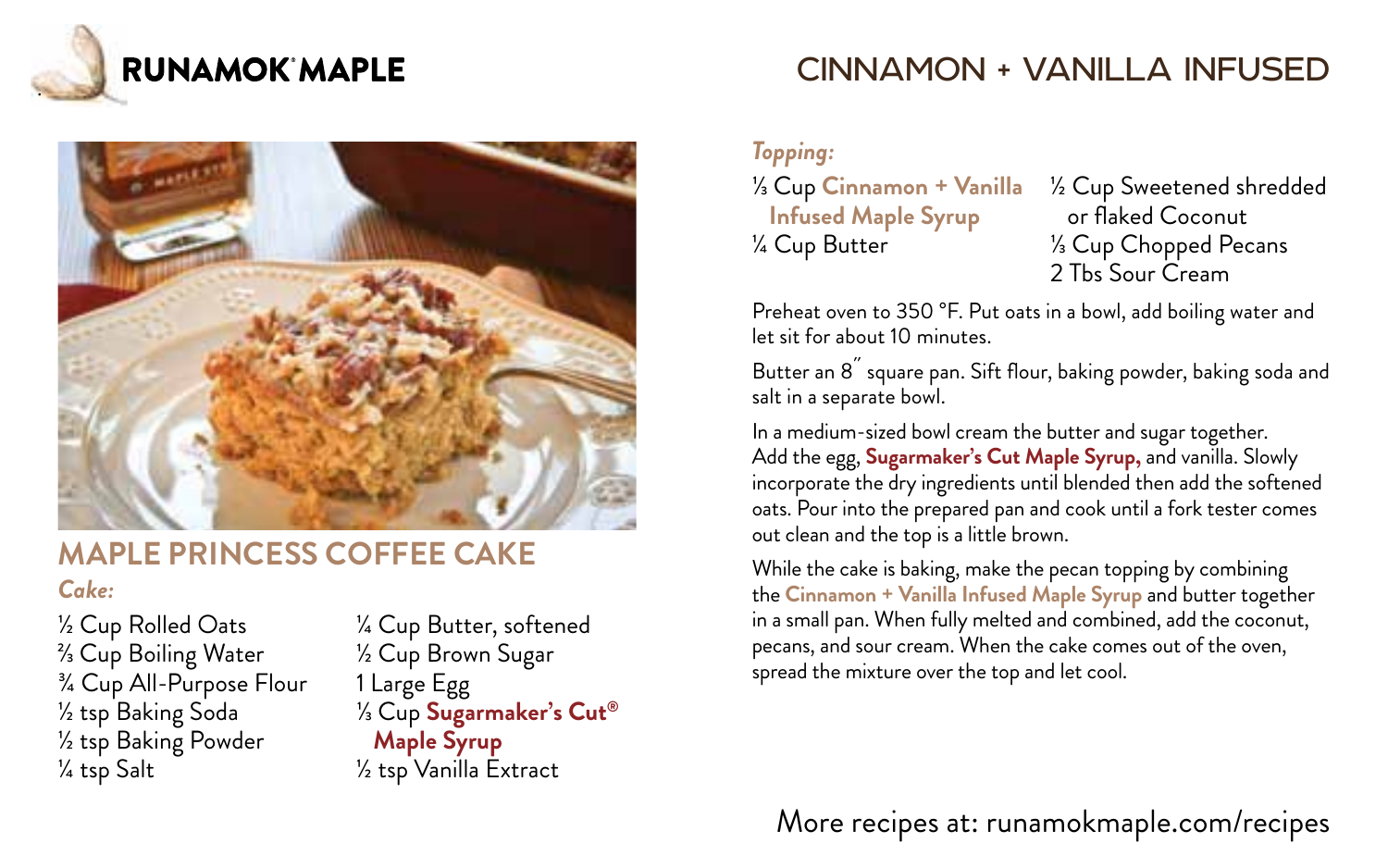



#### **MAPLE PRINCESS COFFEE CAKE**

#### *Cake:*

½ Cup Rolled Oats ⅔ Cup Boiling Water ¾ Cup All-Purpose Flour ½ tsp Baking Soda ½ tsp Baking Powder ¼ tsp Salt

¼ Cup Butter, softened ½ Cup Brown Sugar 1 Large Egg ⅓ Cup **Sugarmaker's Cut® Maple Syrup** ½ tsp Vanilla Extract

# CINNAMON + VANILLA INFUSED

*Topping:*

⅓ Cup **Cinnamon + Vanilla Infused Maple Syrup** ¼ Cup Butter

½ Cup Sweetened shredded or flaked Coconut ⅓ Cup Chopped Pecans 2 Ths Sour Cream

Preheat oven to 350 °F. Put oats in a bowl, add boiling water and let sit for about 10 minutes.

Butter an 8<sup>"</sup> square pan. Sift flour, baking powder, baking soda and salt in a separate bowl.

In a medium-sized bowl cream the butter and sugar together. Add the egg, **Sugarmaker's Cut Maple Syrup,** and vanilla. Slowly incorporate the dry ingredients until blended then add the softened oats. Pour into the prepared pan and cook until a fork tester comes out clean and the top is a little brown.

While the cake is baking, make the pecan topping by combining the **Cinnamon + Vanilla Infused Maple Syrup** and butter together in a small pan. When fully melted and combined, add the coconut, pecans, and sour cream. When the cake comes out of the oven, spread the mixture over the top and let cool.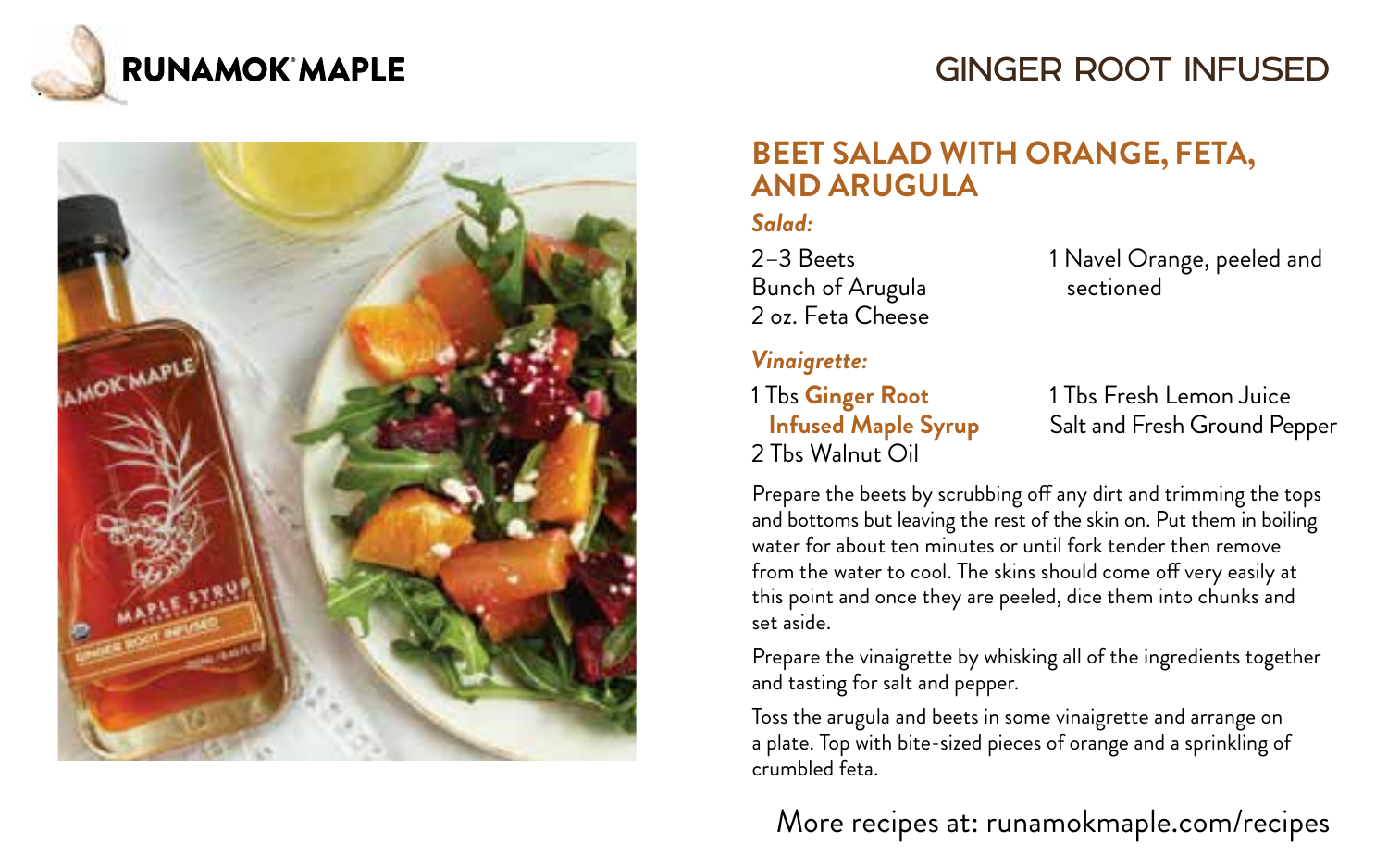

# GINGER ROOT INFUSED



#### **BEET SALAD WITH ORANGE, FETA, AND ARUGULA**

#### *Salad:*

2–3 Beets Bunch of Arugula 2 oz. Feta Cheese

*Vinaigrette:*

1 Tbs **Ginger Root Infused Maple Syrup** 2 Tbs Walnut Oil

1 Navel Orange, peeled and sectioned

1 Tbs Fresh Lemon Juice Salt and Fresh Ground Pepper

Prepare the beets by scrubbing off any dirt and trimming the tops and bottoms but leaving the rest of the skin on. Put them in boiling water for about ten minutes or until fork tender then remove from the water to cool. The skins should come off very easily at this point and once they are peeled, dice them into chunks and set aside.

Prepare the vinaigrette by whisking all of the ingredients together and tasting for salt and pepper.

Toss the arugula and beets in some vinaigrette and arrange on a plate. Top with bite-sized pieces of orange and a sprinkling of crumbled feta.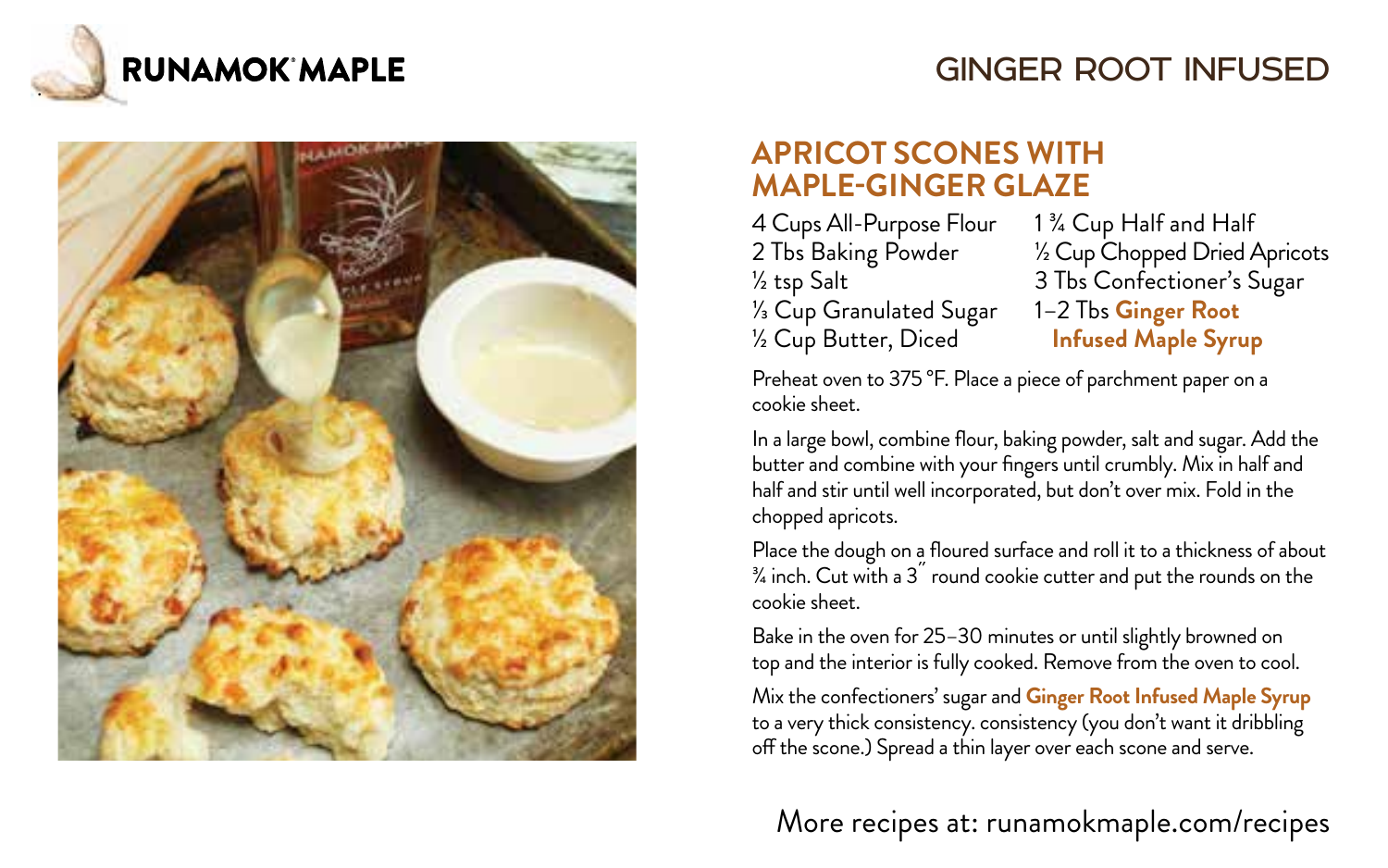

# GINGER ROOT INFUSED



#### **APRICOT SCONES WITH MAPLE-GINGER GLAZE**

4 Cups All-Purpose Flour 1 ¾ Cup Half and Half<br>2 Tbs Baking Powder 1 ½ Cup Chopped Dried 4 <sup>1⁄3</sup> Cup Granulated Sugar<br>½ Cup Butter, Diced

2 Tbs Baking Powder ½ Cup Chopped Dried Apricots 3 Tbs Confectioner's Sugar<br>1–2 Tbs Ginger Root **Infused Maple Syrup** 

Preheat oven to 375 °F. Place a piece of parchment paper on a cookie sheet.

In a large bowl, combine flour, baking powder, salt and sugar. Add the butter and combine with your fingers until crumbly. Mix in half and half and stir until well incorporated, but don't over mix. Fold in the chopped apricots.

Place the dough on a floured surface and roll it to a thickness of about  $\frac{3}{4}$  inch. Cut with a  $3^{''}$  round cookie cutter and put the rounds on the cookie sheet.

Bake in the oven for 25–30 minutes or until slightly browned on top and the interior is fully cooked. Remove from the oven to cool.

Mix the confectioners' sugar and **Ginger Root Infused Maple Syrup** to a very thick consistency. consistency (you don't want it dribbling off the scone.) Spread a thin layer over each scone and serve.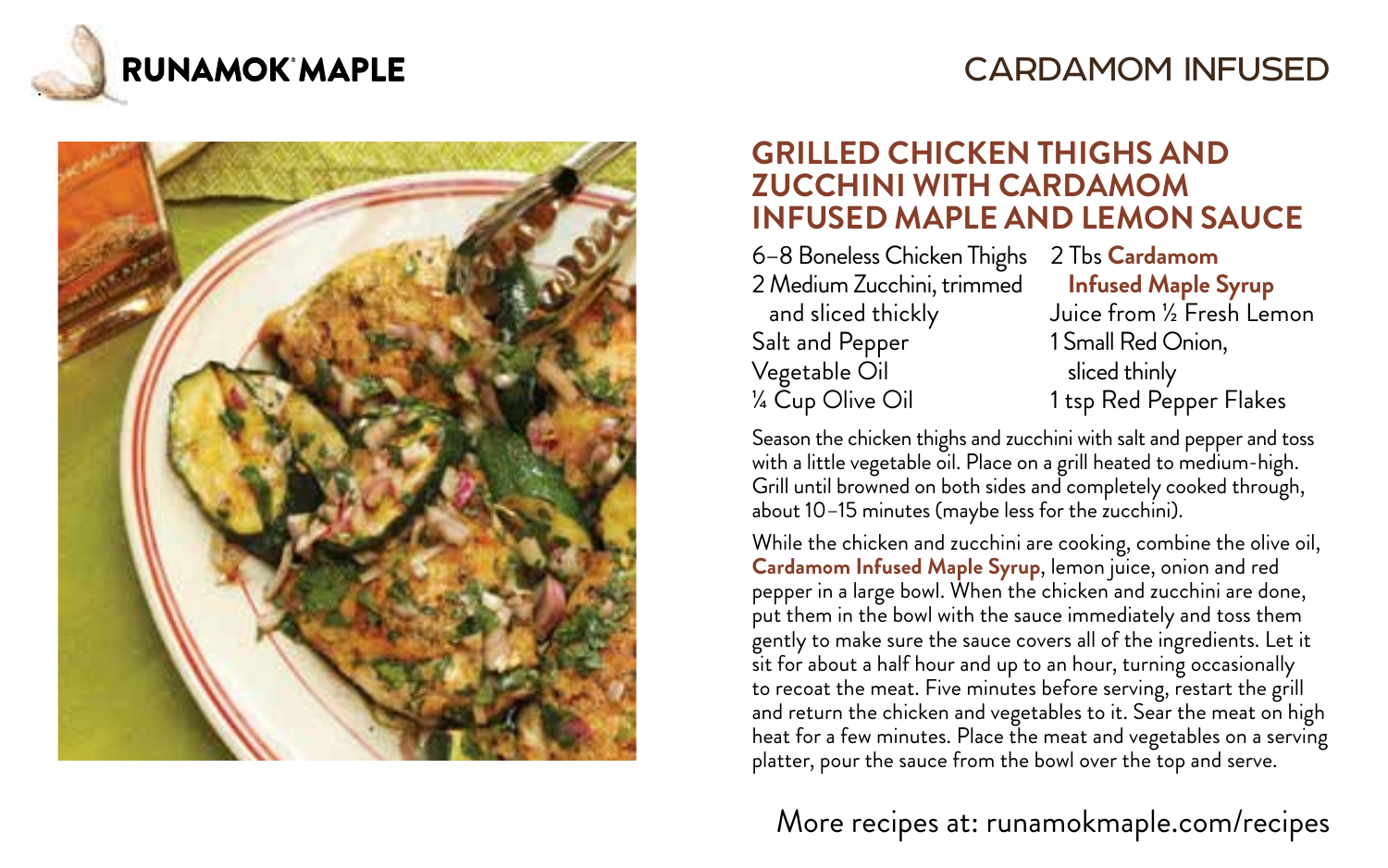

### CARDAMOM INFUSED



#### **GRILLED CHICKEN THIGHS AND ZUCCHINI WITH CARDAMOM INFUSED MAPLE AND LEMON SAUCE**

6–8 Boneless Chicken Thighs 2 Tbs **Cardamom** 2 Medium Zucchini, trimmed **Infused Maple Syrup** Salt and Pepper 1 Small Red Onion, Vegetable Oil sliced thinly <sup>1/4</sup> Cup Olive Oil 1 tsp Red Pepper Flakes

and sliced thickly Juice from ½ Fresh Lemon

Season the chicken thighs and zucchini with salt and pepper and toss with a little vegetable oil. Place on a grill heated to medium-high. Grill until browned on both sides and completely cooked through, about 10-15 minutes (maybe less for the zucchini).

While the chicken and zucchini are cooking, combine the olive oil, **Cardamom Infused Maple Syrup**, lemon juice, onion and red pepper in a large bowl. When the chicken and zucchini are done, put them in the bowl with the sauce immediately and toss them gently to make sure the sauce covers all of the ingredients. Let it sit for about a half hour and up to an hour, turning occasionally to recoat the meat. Five minutes before serving, restart the grill and return the chicken and vegetables to it. Sear the meat on high heat for a few minutes. Place the meat and vegetables on a serving platter, pour the sauce from the bowl over the top and serve.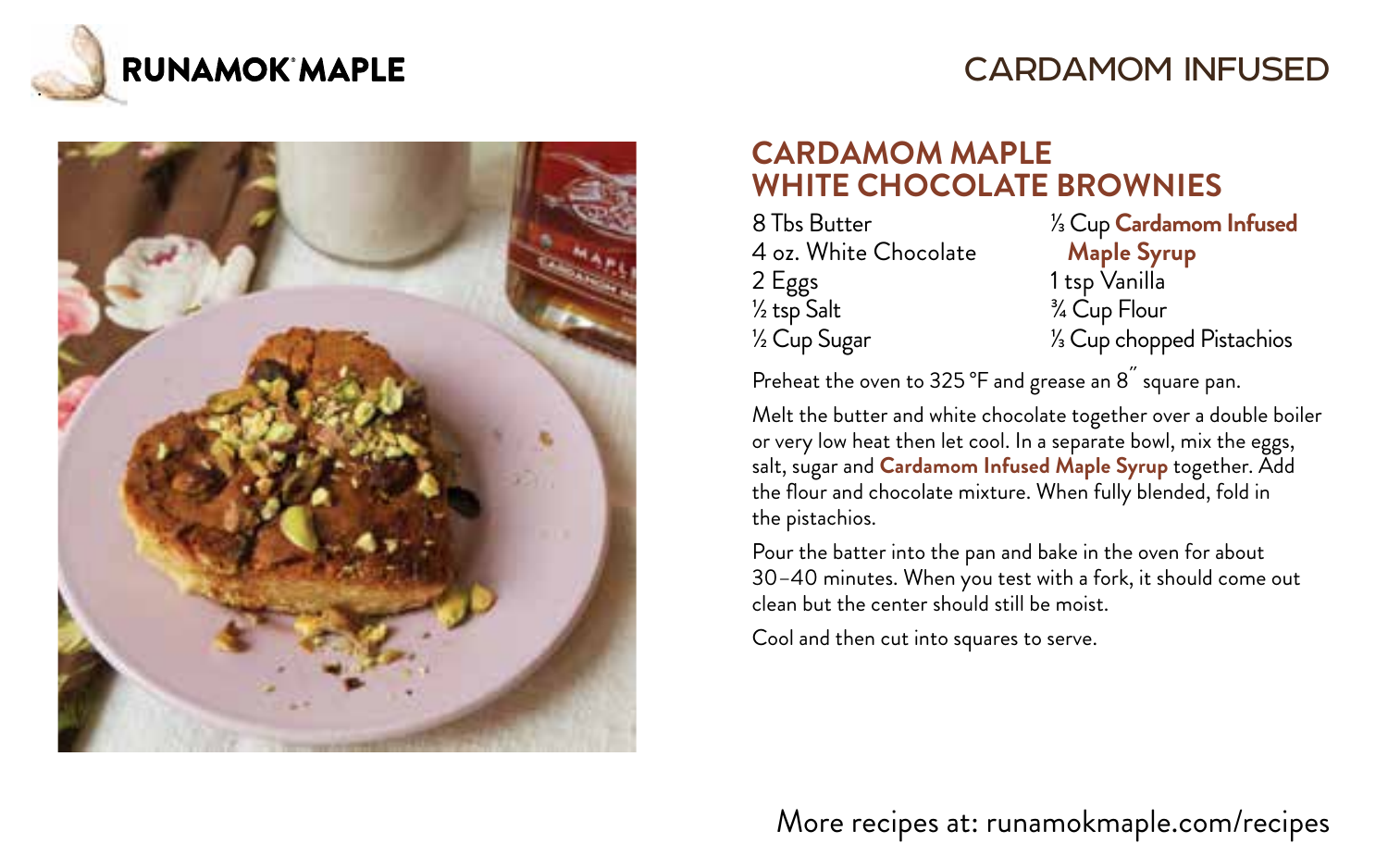

### CARDAMOM INFUSED



#### **CARDAMOM MAPLE WHITE CHOCOLATE BROWNIES**

8 Tbs Butter 4 oz. White Chocolate 2 Eggs ½ tsp Salt ½ Cup Sugar

1/3 Cup **Cardamom Infused Maple Syrup** 1 tsp Vanilla

¾ Cup Flour 1/3 Cup chopped Pistachios

Preheat the oven to 325 °F and grease an 8<sup>"</sup> square pan.

Melt the butter and white chocolate together over a double boiler or very low heat then let cool. In a separate bowl, mix the eggs, salt, sugar and **Cardamom Infused Maple Syrup** together. Add the flour and chocolate mixture. When fully blended, fold in the pistachios.

Pour the batter into the pan and bake in the oven for about 30–40 minutes. When you test with a fork, it should come out clean but the center should still be moist.

Cool and then cut into squares to serve.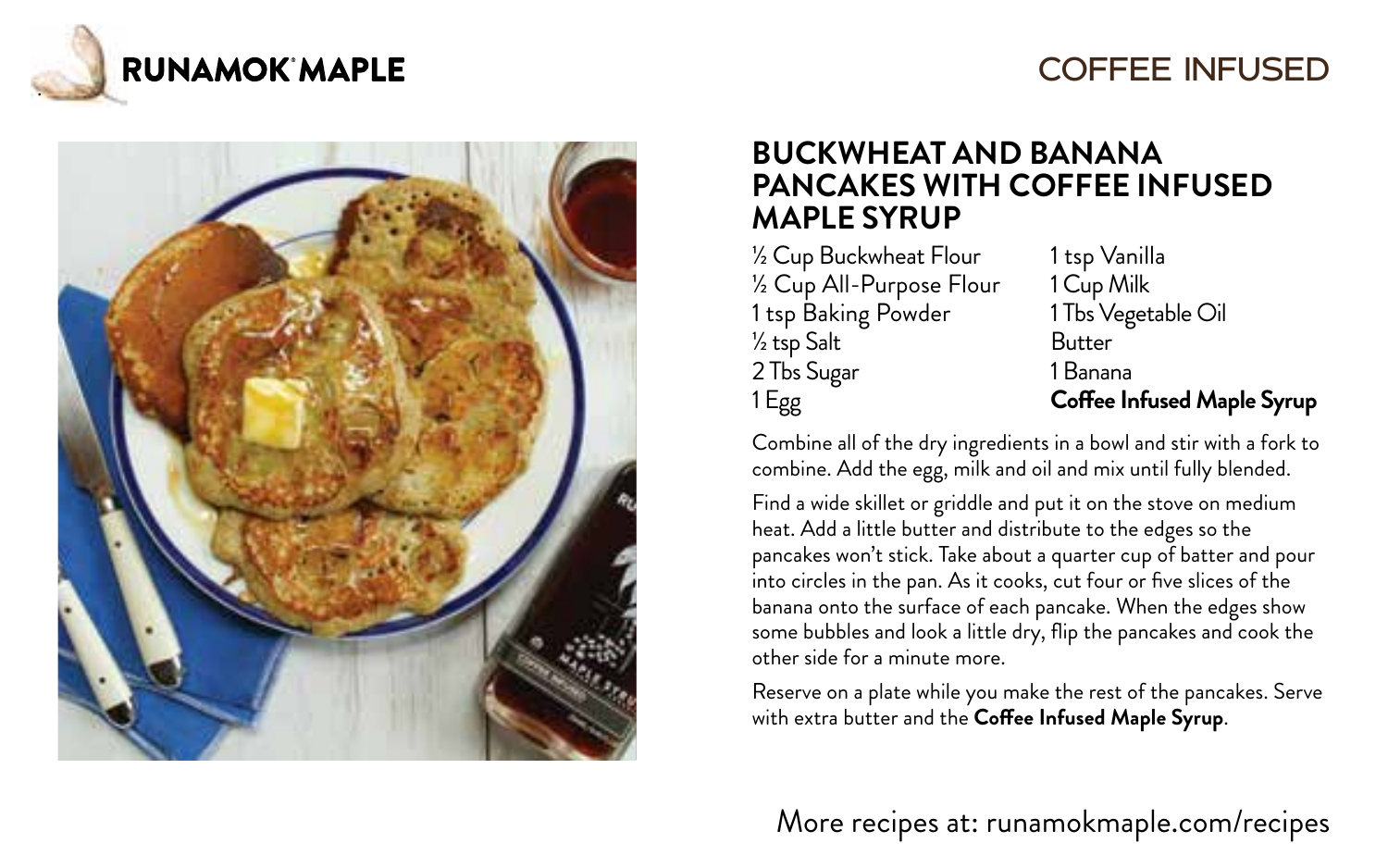

### COFFEE INFUSED



#### **BUCKWHEAT AND BANANA PANCAKES WITH COFFEE INFUSED MAPLE SYRUP**

½ Cup Buckwheat Flour ½ Cup All-Purpose Flour 1 tsp Baking Powder ½ tsp Salt 2 Tbs Sugar 1 Egg

1 tsp Vanilla 1 Cup Milk 1 Tbs Vegetable Oil Butter 1 Banana **Coffee Infused Maple Syrup**

Combine all of the dry ingredients in a bowl and stir with a fork to combine. Add the egg, milk and oil and mix until fully blended.

Find a wide skillet or griddle and put it on the stove on medium heat. Add a little butter and distribute to the edges so the pancakes won't stick. Take about a quarter cup of batter and pour into circles in the pan. As it cooks, cut four or five slices of the banana onto the surface of each pancake. When the edges show some bubbles and look a little dry, flip the pancakes and cook the other side for a minute more.

Reserve on a plate while you make the rest of the pancakes. Serve with extra butter and the **Coffee Infused Maple Syrup**.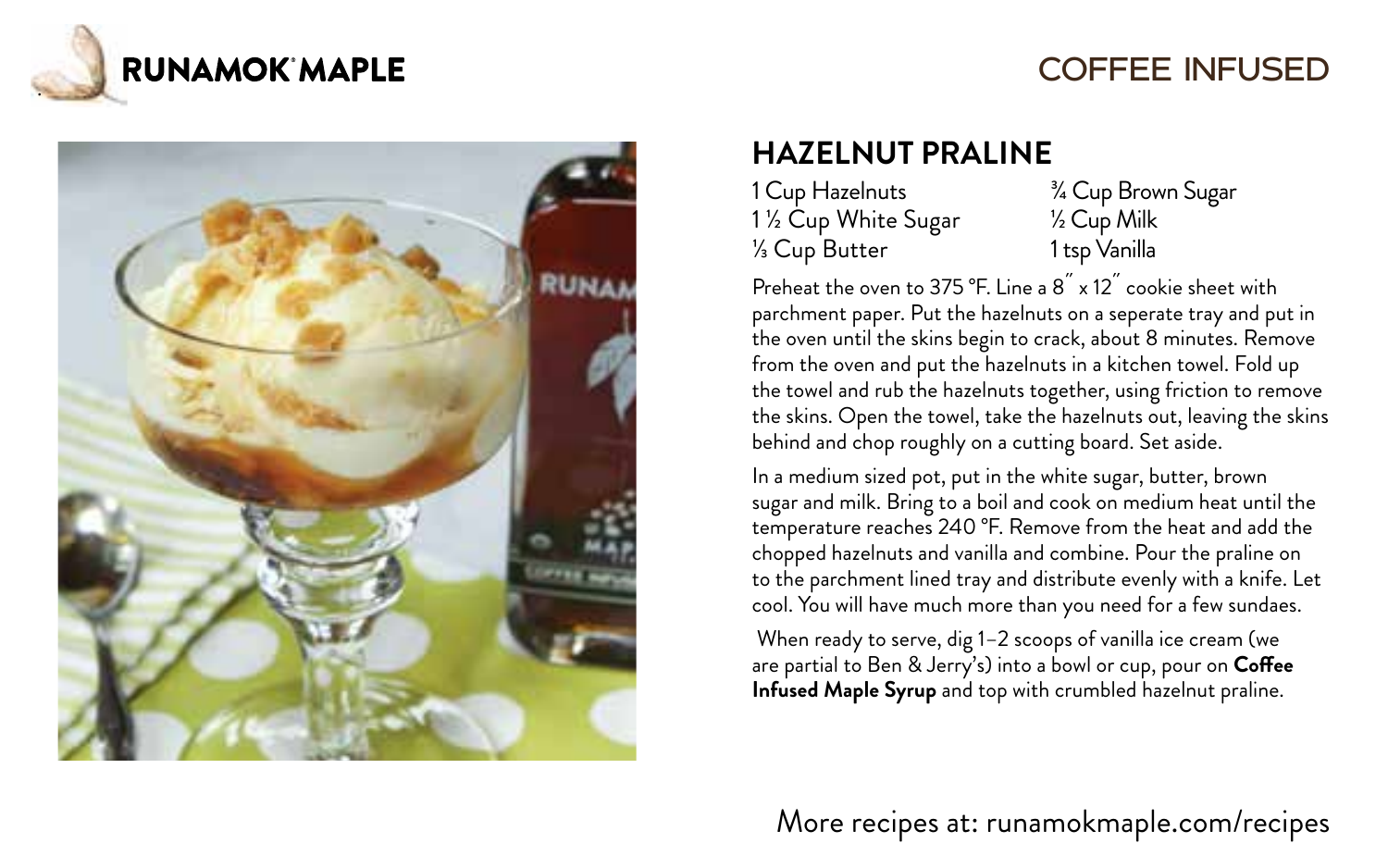

# COFFEE INFUSED



# **HAZELNUT PRALINE**

| 1 Cup Hazelnuts    | $\frac{3}{4}$ C |
|--------------------|-----------------|
| 1½ Cup White Sugar | ½C              |
| 1⁄3 Cup Butter     | 1 tsp           |

**Lup Brown Sugar** ½ Cup Milk n Vanilla

Preheat the oven to 375 °F. Line a  $8^{''}$  x 12 $^{''}$  cookie sheet with parchment paper. Put the hazelnuts on a seperate tray and put in the oven until the skins begin to crack, about 8 minutes. Remove from the oven and put the hazelnuts in a kitchen towel. Fold up the towel and rub the hazelnuts together, using friction to remove the skins. Open the towel, take the hazelnuts out, leaving the skins behind and chop roughly on a cutting board. Set aside.

In a medium sized pot, put in the white sugar, butter, brown sugar and milk. Bring to a boil and cook on medium heat until the temperature reaches 240 °F. Remove from the heat and add the chopped hazelnuts and vanilla and combine. Pour the praline on to the parchment lined tray and distribute evenly with a knife. Let cool. You will have much more than you need for a few sundaes.

 When ready to serve, dig 1–2 scoops of vanilla ice cream (we are partial to Ben & Jerry's) into a bowl or cup, pour on **Coffee Infused Maple Syrup** and top with crumbled hazelnut praline.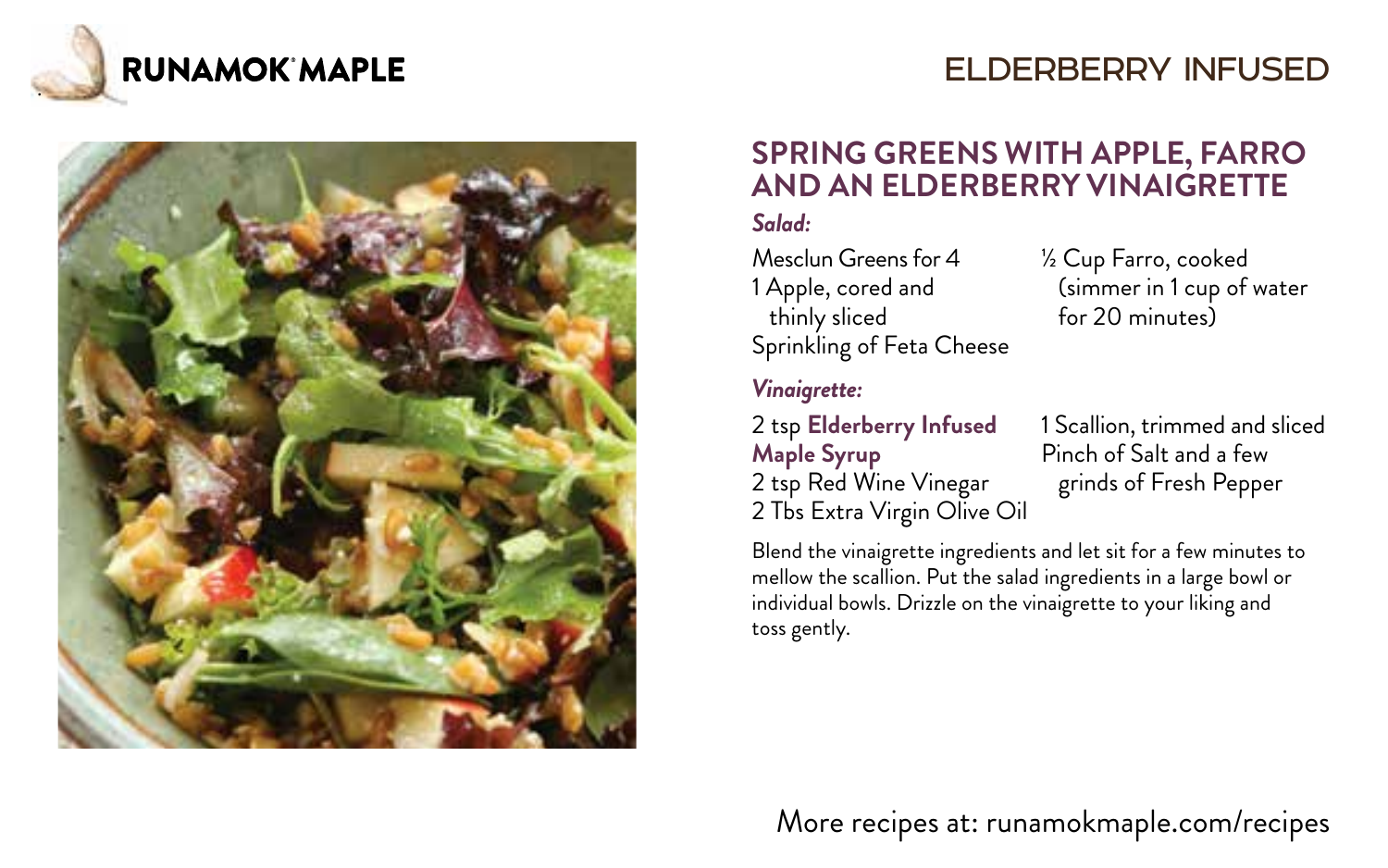

# ELDERBERRY INFUSED



### **SPRING GREENS WITH APPLE, FARRO AND AN ELDERBERRY VINAIGRETTE**

#### *Salad:*

Mesclun Greens for 4 ½ Cup Farro, cooked thinly sliced Sprinkling of Feta Cheese

1 Apple, cored and (simmer in 1 cup of water<br>thinly sliced that for 20 minutes)

#### *Vinaigrette:*

**Maple Syrup** Pinch of Salt and a few 2 tsp Red Wine Vinegar grinds of Fresh Pepper 2 Tbs Extra Virgin Olive Oil

2 tsp **Elderberry Infused** 1 Scallion, trimmed and sliced

Blend the vinaigrette ingredients and let sit for a few minutes to mellow the scallion. Put the salad ingredients in a large bowl or individual bowls. Drizzle on the vinaigrette to your liking and toss gently.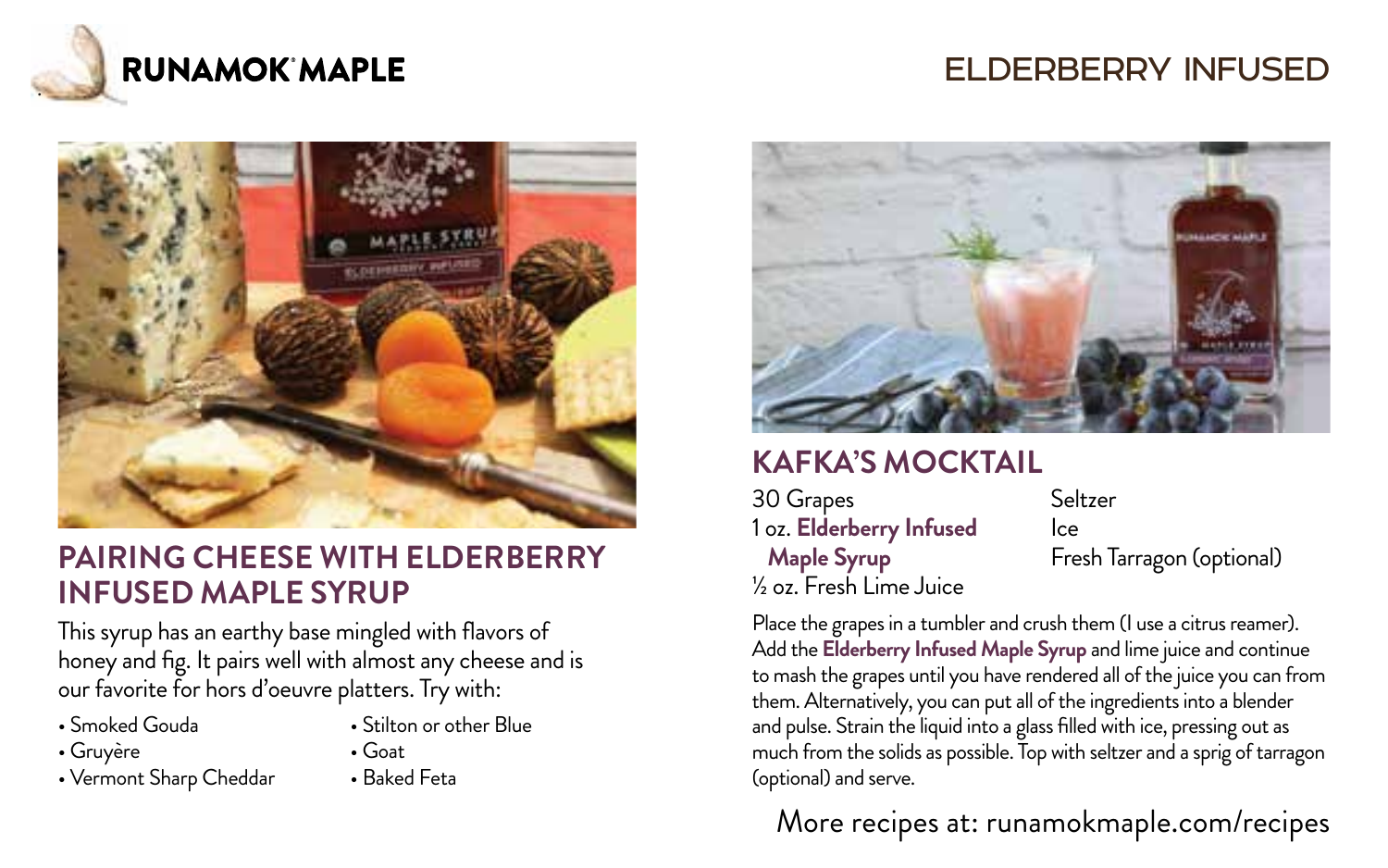

### ELDERBERRY INFUSED



#### **PAIRING CHEESE WITH ELDERBERRY INFUSED MAPLE SYRUP**

This syrup has an earthy base mingled with flavors of honey and fig. It pairs well with almost any cheese and is our favorite for hors d'oeuvre platters. Try with:

- 
- 
- Gruyère • Goat<br>• Vermont Sharn Cheddar • Baked Feta • Vermont Sharp Cheddar
- Smoked Gouda Stilton or other Blue
	-
	-



### **KAFKA'S MOCKTAIL**

30 Grapes 1 oz. **Elderberry Infused Maple Syrup** ½ oz. Fresh Lime Juice

Seltzer Ice Fresh Tarragon (optional)

Place the grapes in a tumbler and crush them (I use a citrus reamer). Add the **Elderberry Infused Maple Syrup** and lime juice and continue to mash the grapes until you have rendered all of the juice you can from them. Alternatively, you can put all of the ingredients into a blender and pulse. Strain the liquid into a glass filled with ice, pressing out as much from the solids as possible. Top with seltzer and a sprig of tarragon (optional) and serve.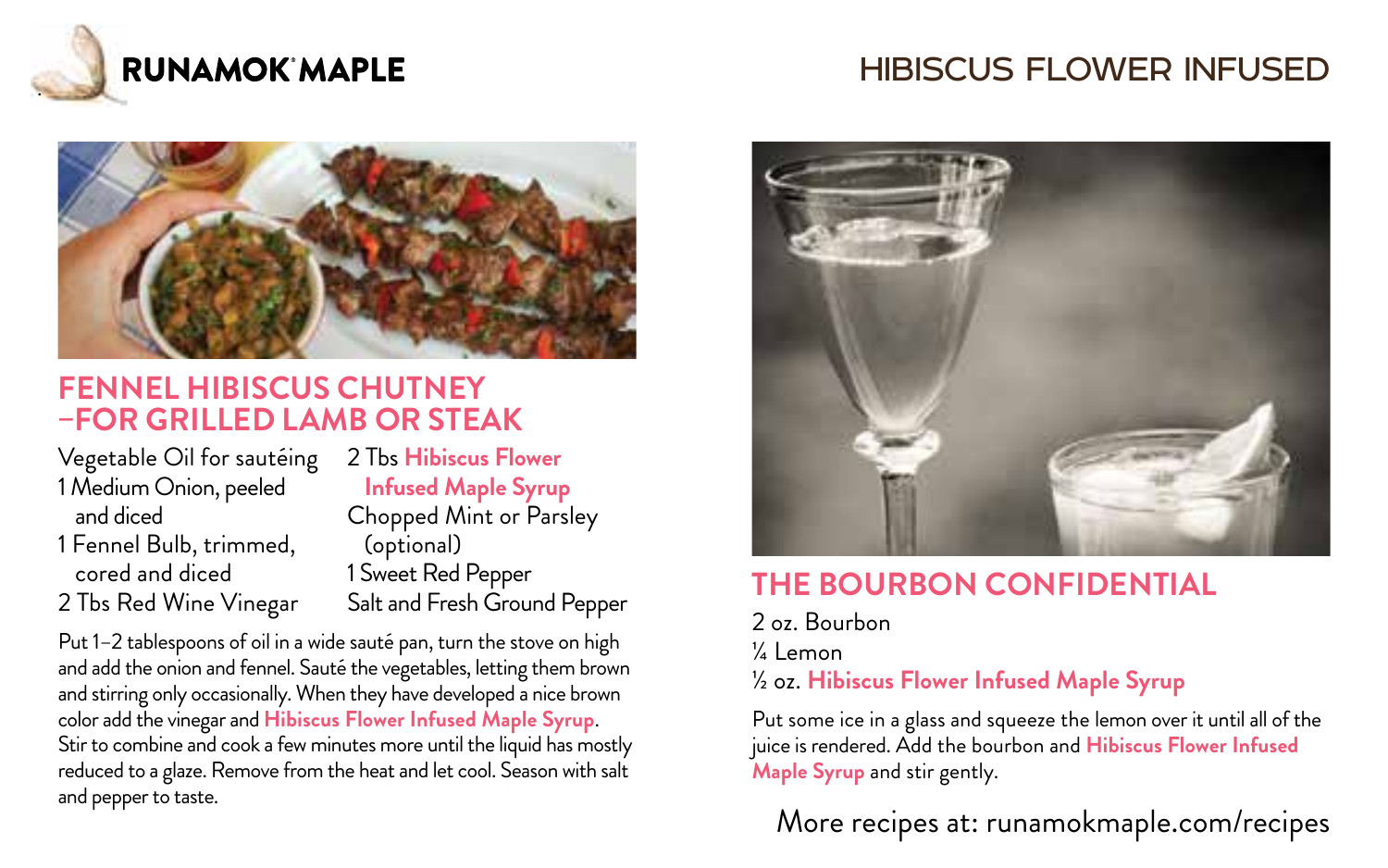

# HIBISCUS FLOWER INFUSED



#### **FENNEL HIBISCUS CHUTNEY –FOR GRILLED LAMB OR STEAK**

Vegetable Oil for sautéing 2 Tbs **Hibiscus Flower** 1 Medium Onion, peeled **Infused Maple Syrup** 1 Fennel Bulb, trimmed, (optional) cored and diced 1 Sweet Red Pepper

Chopped Mint or Parsley 2 Tbs Red Wine Vinegar Salt and Fresh Ground Pepper

Put 1–2 tablespoons of oil in a wide sauté pan, turn the stove on high and add the onion and fennel. Sauté the vegetables, letting them brown and stirring only occasionally. When they have developed a nice brown color add the vinegar and **Hibiscus Flower Infused Maple Syrup**. Stir to combine and cook a few minutes more until the liquid has mostly reduced to a glaze. Remove from the heat and let cool. Season with salt and pepper to taste.



### **THE BOURBON CONFIDENTIAL**

2 oz. Bourbon ¼ Lemon ½ oz. **Hibiscus Flower Infused Maple Syrup**

Put some ice in a glass and squeeze the lemon over it until all of the juice is rendered. Add the bourbon and **Hibiscus Flower Infused Maple Syrup** and stir gently.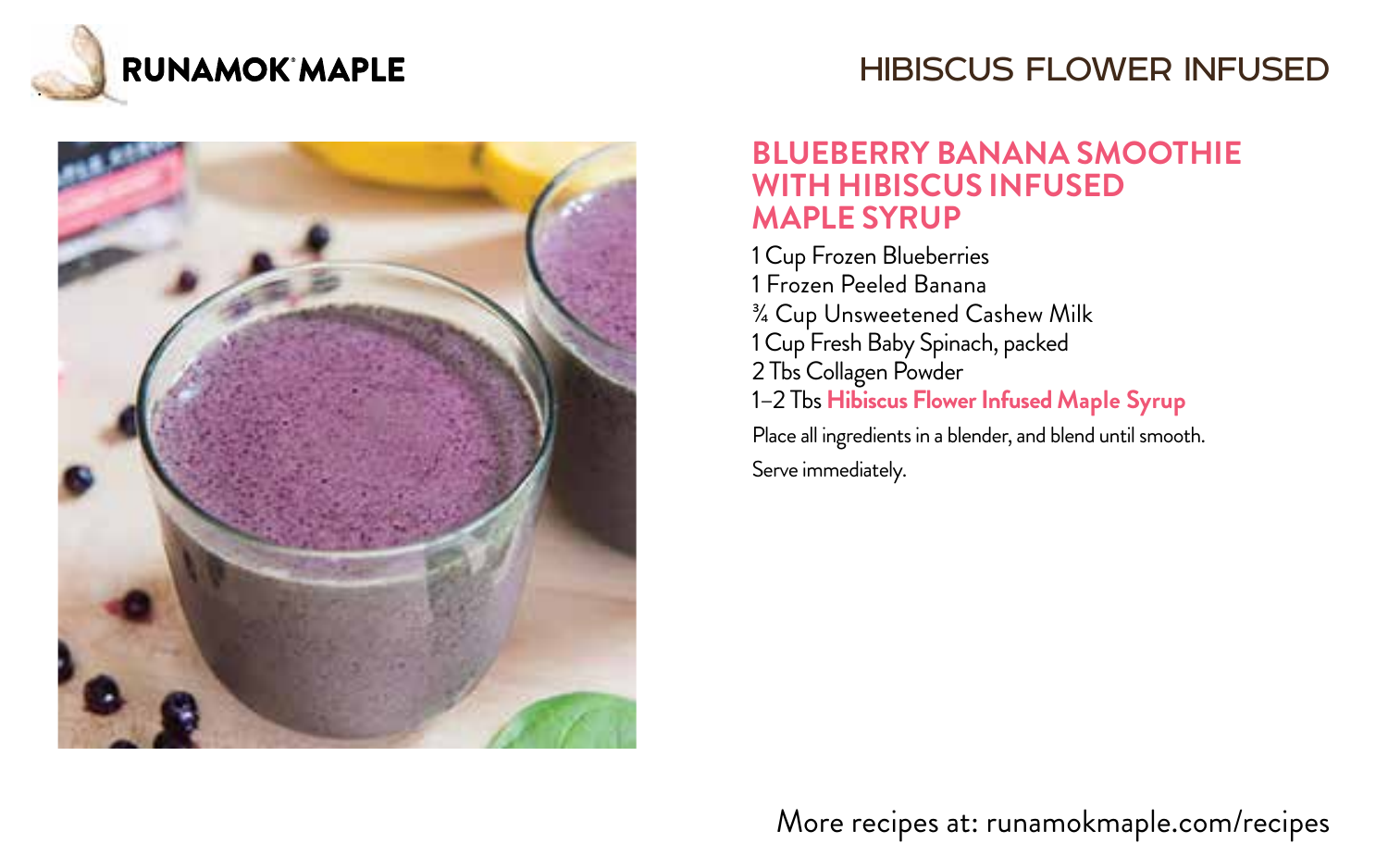

# HIBISCUS FLOWER INFUSED



#### **BLUEBERRY BANANA SMOOTHIE WITH HIBISCUS INFUSED MAPLE SYRUP**

1 Cup Frozen Blueberries 1 Frozen Peeled Banana ¾ Cup Unsweetened Cashew Milk 1 Cup Fresh Baby Spinach, packed 2 Tbs Collagen Powder 1–2 Tbs **Hibiscus Flower Infused Maple Syrup** Place all ingredients in a blender, and blend until smooth.

Serve immediately.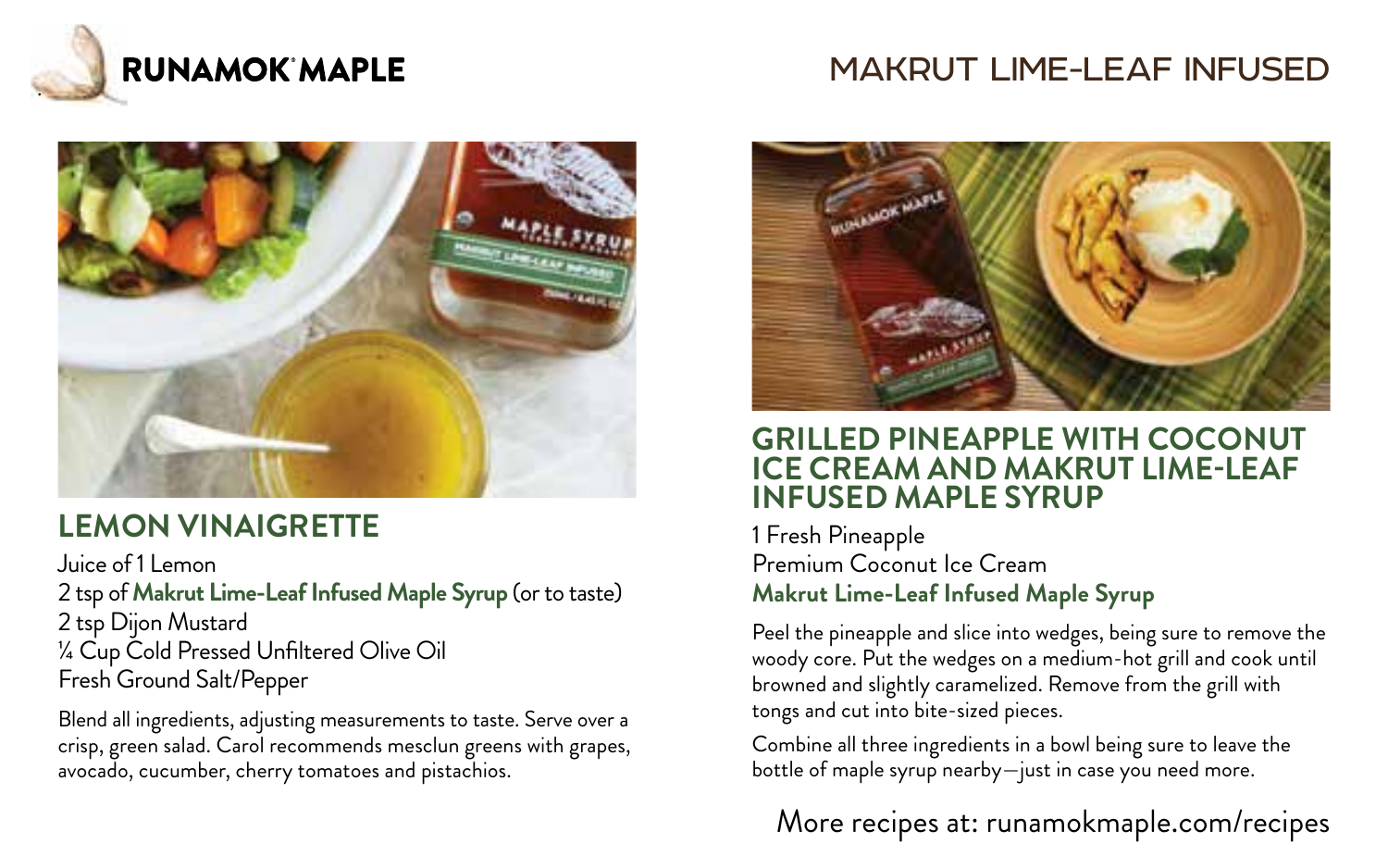

# MAKRUT LIME-LEAF INFUSED



# **LEMON VINAIGRETTE**

Juice of 1 Lemon

2 tsp of **Makrut Lime-Leaf Infused Maple Syrup** (or to taste) 2 tsp Dijon Mustard ¼ Cup Cold Pressed Unfiltered Olive Oil Fresh Ground Salt/Pepper

Blend all ingredients, adjusting measurements to taste. Serve over a crisp, green salad. Carol recommends mesclun greens with grapes, avocado, cucumber, cherry tomatoes and pistachios.



#### **GRILLED PINEAPPLE WITH COCONUT ICE CREAM AND MAKRUT LIME-LEAF INFUSED MAPLE SYRUP**

1 Fresh Pineapple Premium Coconut Ice Cream **Makrut Lime-Leaf Infused Maple Syrup**

Peel the pineapple and slice into wedges, being sure to remove the woody core. Put the wedges on a medium-hot grill and cook until browned and slightly caramelized. Remove from the grill with tongs and cut into bite-sized pieces.

Combine all three ingredients in a bowl being sure to leave the bottle of maple syrup nearby—just in case you need more.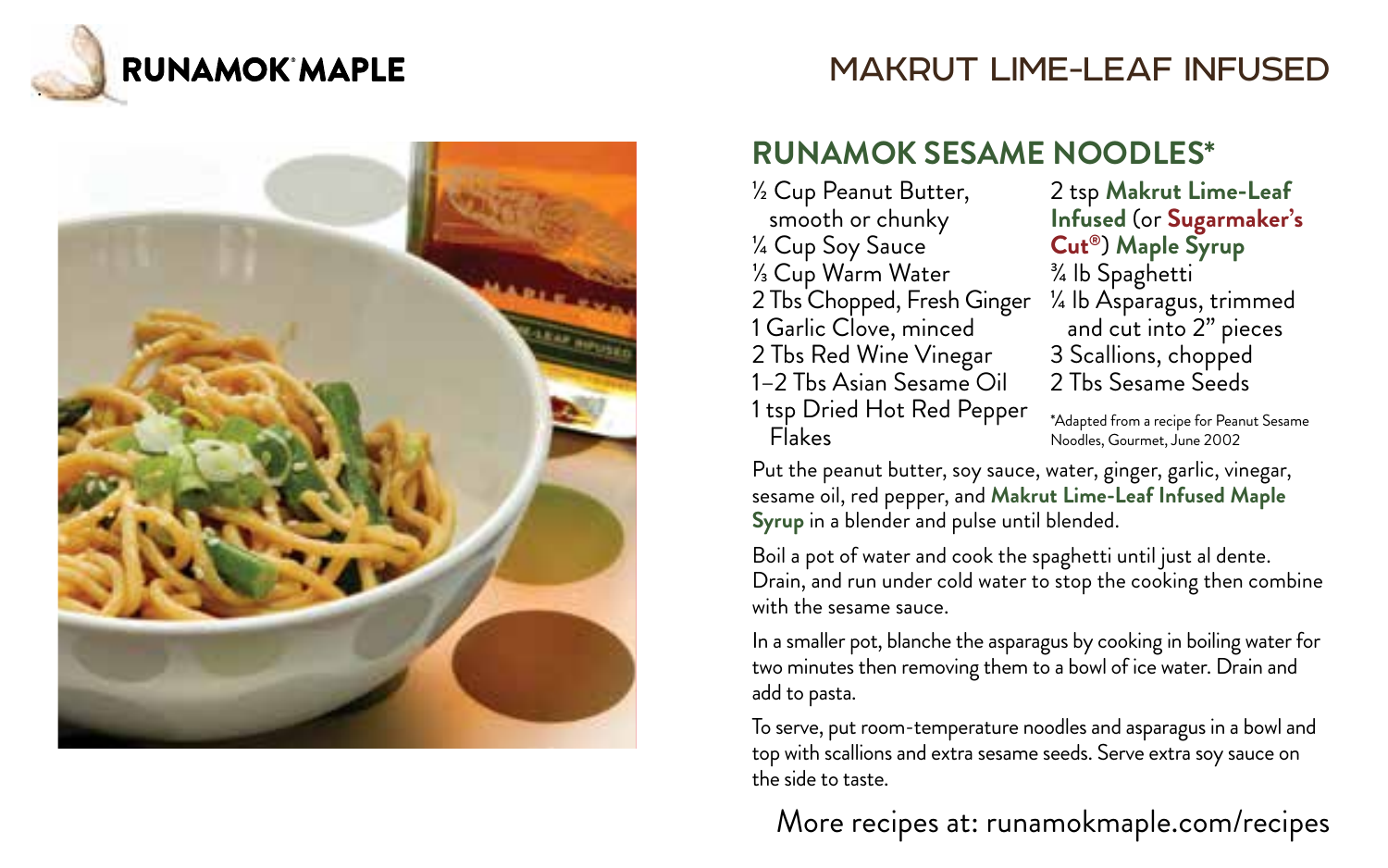





#### **RUNAMOK SESAME NOODLES\***

½ Cup Peanut Butter, smooth or chunky ¼ Cup Soy Sauce ⅓ Cup Warm Water 2 Tbs Chopped, Fresh Ginger 1 Garlic Clove, minced 2 Tbs Red Wine Vinegar 1–2 Tbs Asian Sesame Oil 1 tsp Dried Hot Red Pepper Flakes

2 tsp **Makrut Lime-Leaf Infused** (or **Sugarmaker's Cut®**) **Maple Syrup** ¾ lb Spaghetti ¼ lb Asparagus, trimmed and cut into 2" pieces 3 Scallions, chopped 2 Tbs Sesame Seeds

\*Adapted from a recipe for Peanut Sesame Noodles, Gourmet, June 2002

Put the peanut butter, soy sauce, water, ginger, garlic, vinegar, sesame oil, red pepper, and **Makrut Lime-Leaf Infused Maple Syrup** in a blender and pulse until blended.

Boil a pot of water and cook the spaghetti until just al dente. Drain, and run under cold water to stop the cooking then combine with the sesame sauce.

In a smaller pot, blanche the asparagus by cooking in boiling water for two minutes then removing them to a bowl of ice water. Drain and add to pasta.

To serve, put room-temperature noodles and asparagus in a bowl and top with scallions and extra sesame seeds. Serve extra soy sauce on the side to taste.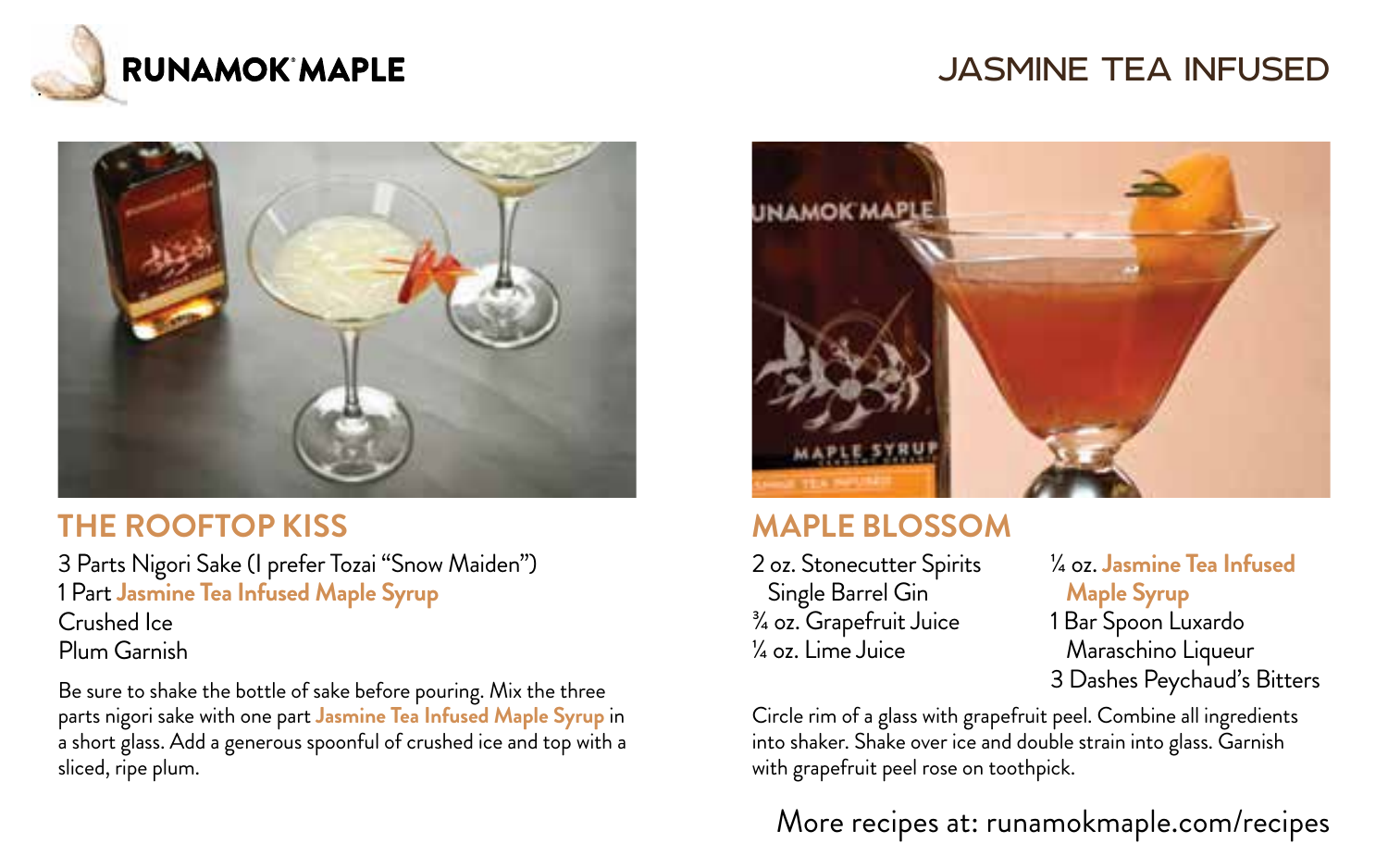

# JASMINE TEA INFUSED



#### **THE ROOFTOP KISS**

3 Parts Nigori Sake (I prefer Tozai "Snow Maiden") 1 Part **Jasmine Tea Infused Maple Syrup** Crushed Ice Plum Garnish

Be sure to shake the bottle of sake before pouring. Mix the three parts nigori sake with one part **Jasmine Tea Infused Maple Syrup** in a short glass. Add a generous spoonful of crushed ice and top with a sliced, ripe plum.



### **MAPLE BLOSSOM**

2 oz. Stonecutter Spirits Single Barrel Gin ¾ oz. Grapefruit Juice ¼ oz. Lime Juice

¼ oz. **Jasmine Tea Infused Maple Syrup** 1 Bar Spoon Luxardo Maraschino Liqueur 3 Dashes Peychaud's Bitters

Circle rim of a glass with grapefruit peel. Combine all ingredients into shaker. Shake over ice and double strain into glass. Garnish with grapefruit peel rose on toothpick.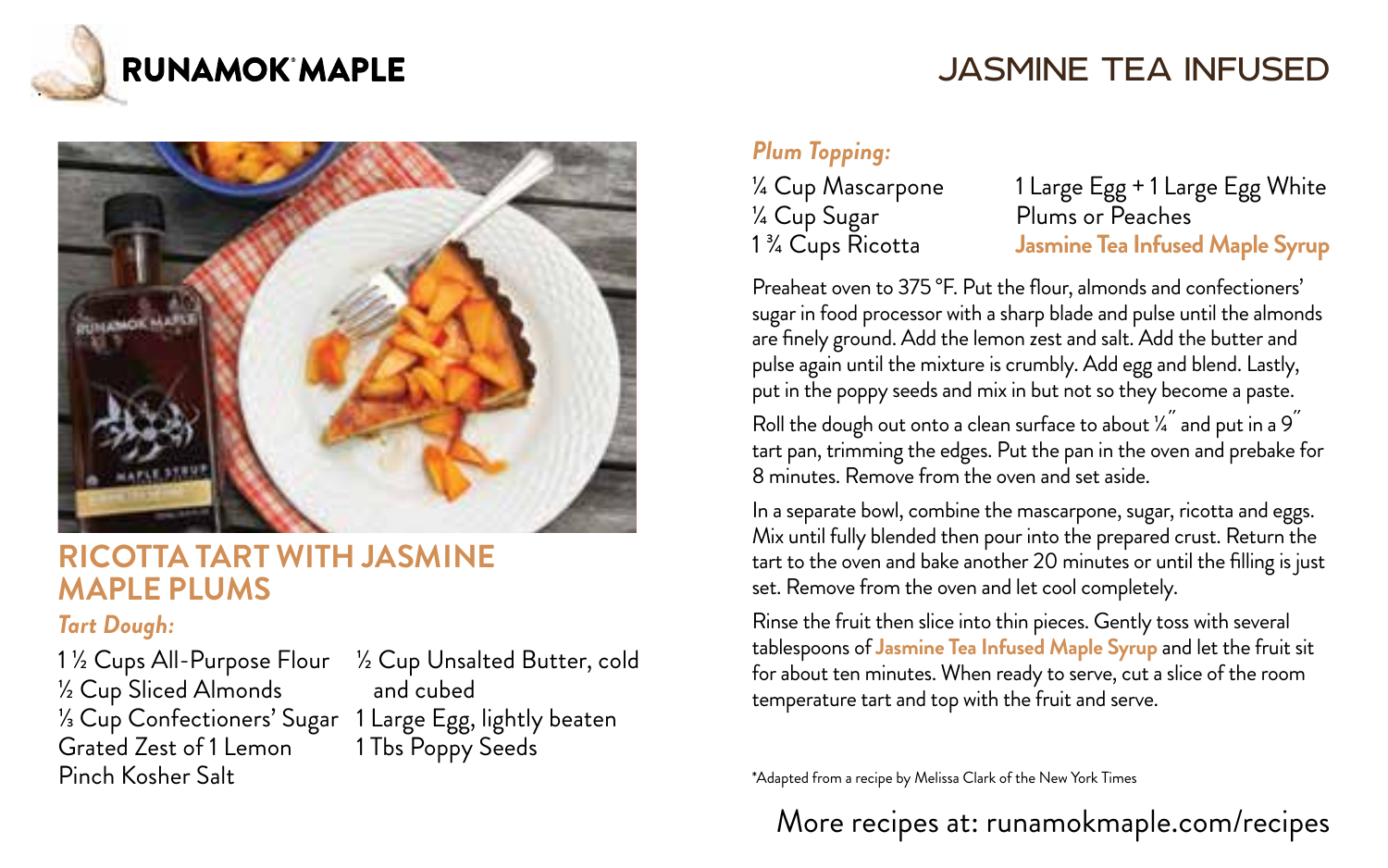

# JASMINE TEA INFUSED



#### **RICOTTA TART WITH JASMINE MAPLE PLUMS**

#### *Tart Dough:*

1 ½ Cups All-Purpose Flour ½ Cup Sliced Almonds ⅓ Cup Confectioners' Sugar 1 Large Egg, lightly beaten Grated Zest of 1 Lemon Pinch Kosher Salt

½ Cup Unsalted Butter, cold and cubed 1 Tbs Poppy Seeds

#### *Plum Topping:*

¼ Cup Mascarpone ¼ Cup Sugar 1 ¾ Cups Ricotta

1 Large Egg + 1 Large Egg White Plums or Peaches **Jasmine Tea Infused Maple Syrup**

Preaheat oven to 375 °F. Put the flour, almonds and confectioners' sugar in food processor with a sharp blade and pulse until the almonds are finely ground. Add the lemon zest and salt. Add the butter and pulse again until the mixture is crumbly. Add egg and blend. Lastly, put in the poppy seeds and mix in but not so they become a paste. Roll the dough out onto a clean surface to about  $\frac{y^{\prime\prime}}{4}$  and put in a 9 tart pan, trimming the edges. Put the pan in the oven and prebake for 8 minutes. Remove from the oven and set aside.

In a separate bowl, combine the mascarpone, sugar, ricotta and eggs. Mix until fully blended then pour into the prepared crust. Return the tart to the oven and bake another 20 minutes or until the filling is just set. Remove from the oven and let cool completely.

Rinse the fruit then slice into thin pieces. Gently toss with several tablespoons of **Jasmine Tea Infused Maple Syrup** and let the fruit sit for about ten minutes. When ready to serve, cut a slice of the room temperature tart and top with the fruit and serve.

\*Adapted from a recipe by Melissa Clark of the New York Times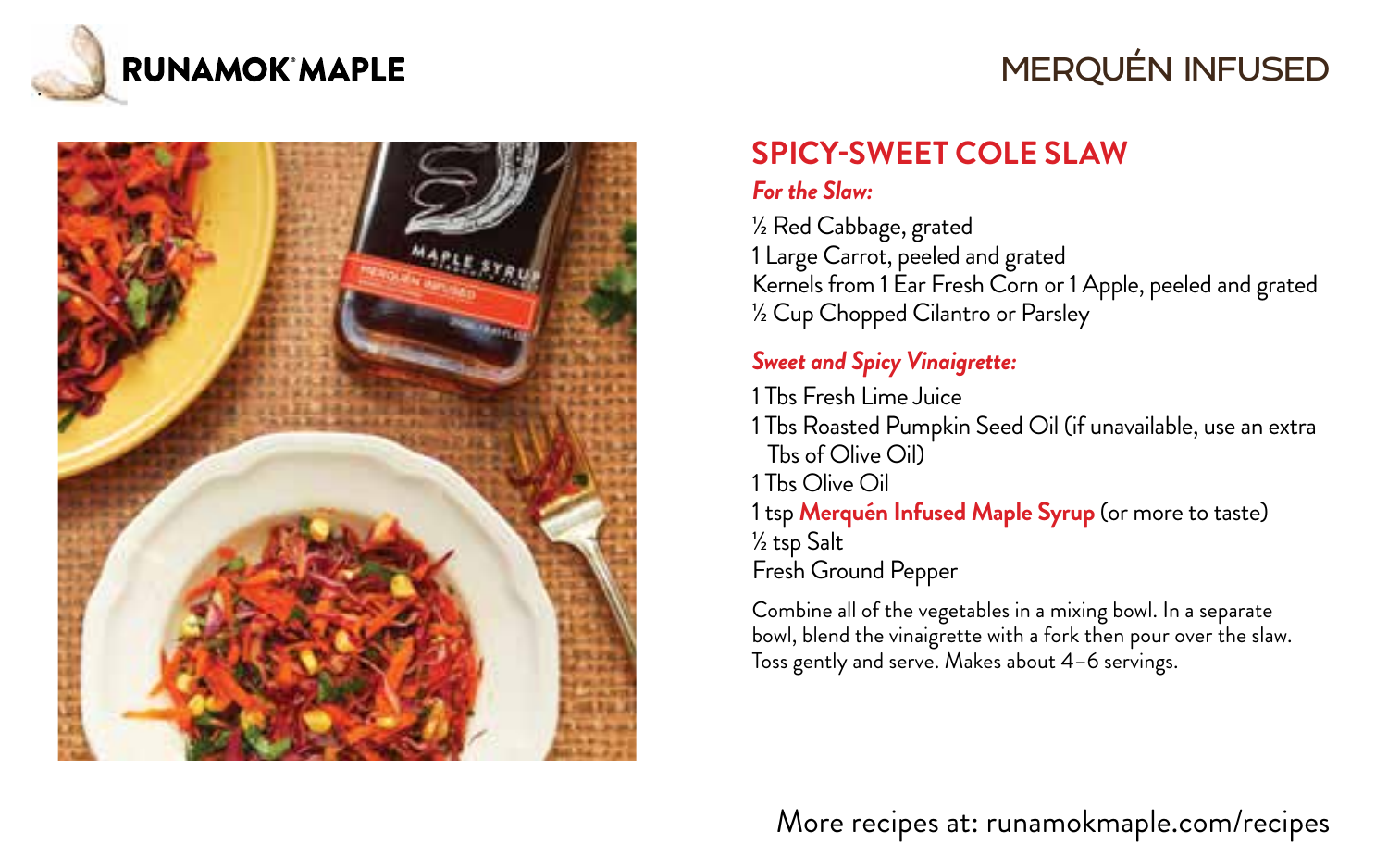

# MERQUÉN INFUSED



# **SPICY-SWEET COLE SLAW**

#### *For the Slaw:*

½ Red Cabbage, grated 1 Large Carrot, peeled and grated Kernels from 1 Ear Fresh Corn or 1 Apple, peeled and grated ½ Cup Chopped Cilantro or Parsley

#### *Sweet and Spicy Vinaigrette:*

1 Tbs Fresh Lime Juice 1 Tbs Roasted Pumpkin Seed Oil (if unavailable, use an extra Tbs of Olive Oil) 1 Tbs Olive Oil 1 tsp **Merquén Infused Maple Syrup** (or more to taste) ½ tsp Salt Fresh Ground Pepper

Combine all of the vegetables in a mixing bowl. In a separate bowl, blend the vinaigrette with a fork then pour over the slaw. Toss gently and serve. Makes about 4–6 servings.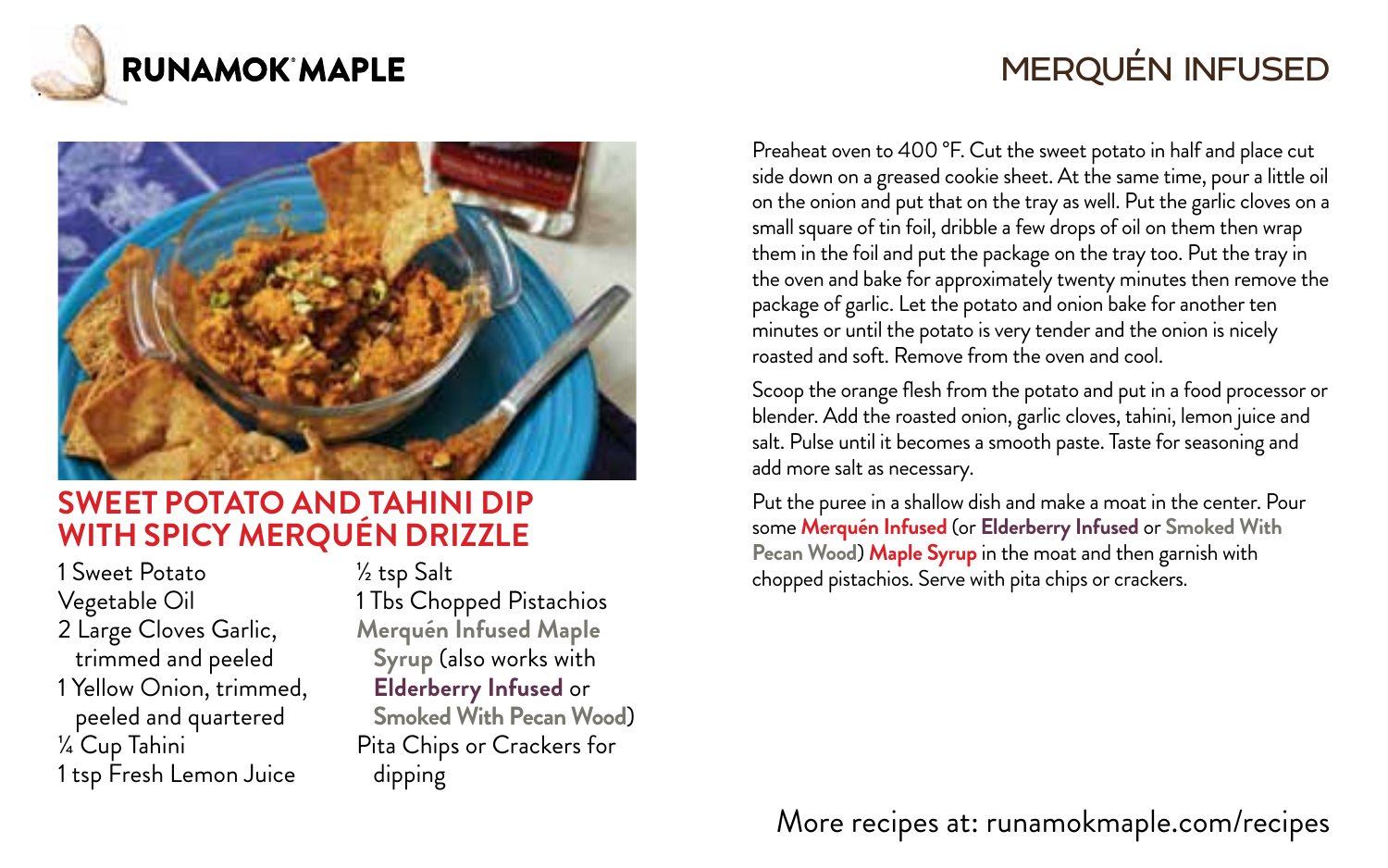

# MERQUÉN INFUSED



#### **SWEET POTATO AND TAHINI DIP WITH SPICY MERQUÉN DRIZZLE**

1 Sweet Potato Vegetable Oil 2 Large Cloves Garlic, trimmed and peeled 1 Yellow Onion, trimmed, peeled and quartered ¼ Cup Tahini 1 tsp Fresh Lemon Juice

½ tsp Salt 1 Tbs Chopped Pistachios **Merquén Infused Maple Syrup** (also works with **Elderberry Infused** or **Smoked With Pecan Wood**) Pita Chips or Crackers for dipping

Preaheat oven to 400 °F. Cut the sweet potato in half and place cut side down on a greased cookie sheet. At the same time, pour a little oil on the onion and put that on the tray as well. Put the garlic cloves on a small square of tin foil, dribble a few drops of oil on them then wrap them in the foil and put the package on the tray too. Put the tray in the oven and bake for approximately twenty minutes then remove the package of garlic. Let the potato and onion bake for another ten minutes or until the potato is very tender and the onion is nicely roasted and soft. Remove from the oven and cool.

Scoop the orange flesh from the potato and put in a food processor or blender. Add the roasted onion, garlic cloves, tahini, lemon juice and salt. Pulse until it becomes a smooth paste. Taste for seasoning and add more salt as necessary.

Put the puree in a shallow dish and make a moat in the center. Pour some **Merquén Infused** (or **Elderberry Infused** or **Smoked With Pecan Wood**) **Maple Syrup** in the moat and then garnish with chopped pistachios. Serve with pita chips or crackers.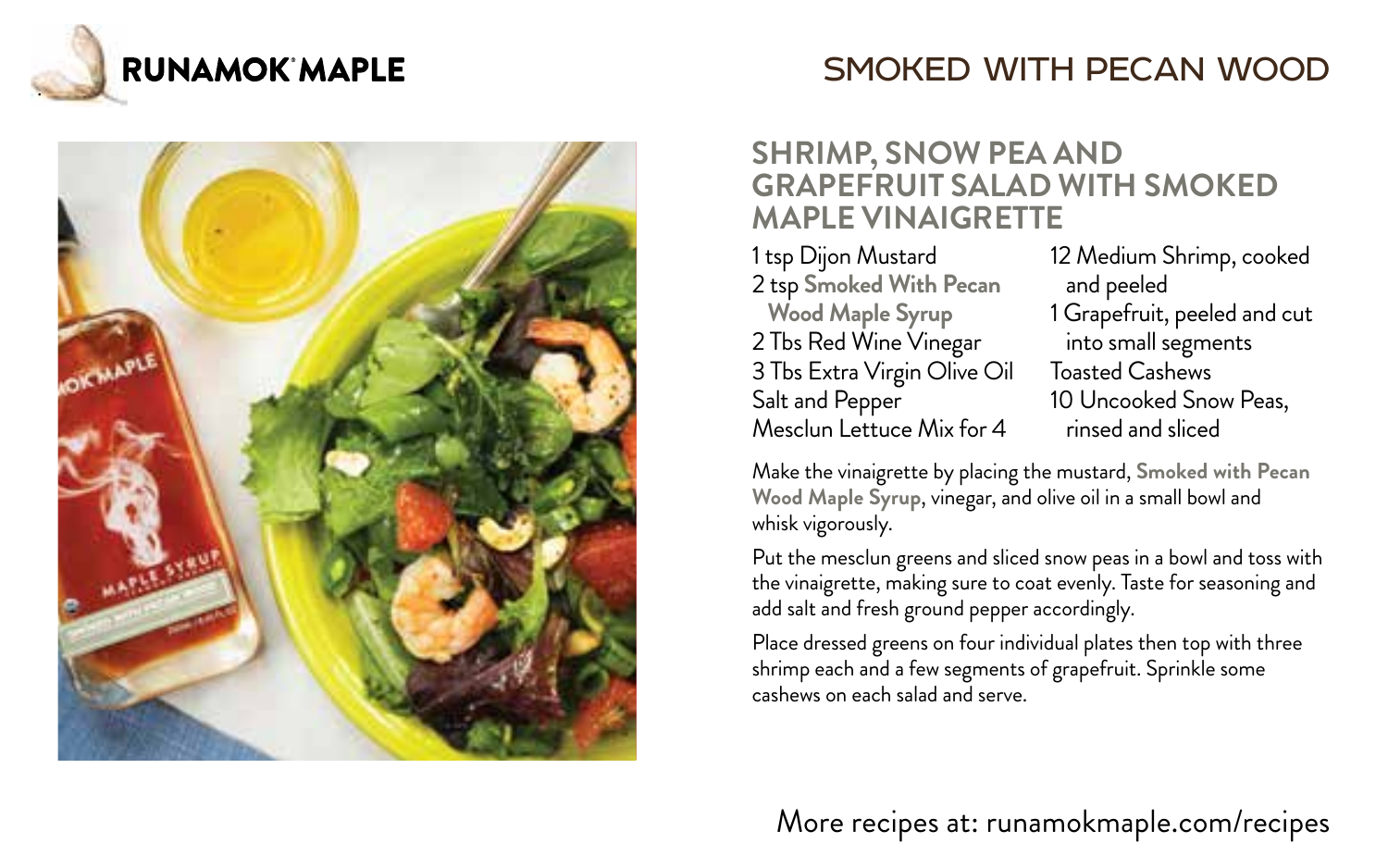



# SMOKED WITH PECAN WOOD

#### **SHRIMP, SNOW PEA AND GRAPEFRUIT SALAD WITH SMOKED MAPLE VINAIGRETTE**

1 tsp Dijon Mustard 2 tsp **Smoked With Pecan Wood Maple Syrup** 2 Tbs Red Wine Vinegar 3 Tbs Extra Virgin Olive Oil Salt and Pepper Mesclun Lettuce Mix for 4

12 Medium Shrimp, cooked and peeled 1 Grapefruit, peeled and cut into small segments Toasted Cashews 10 Uncooked Snow Peas, rinsed and sliced

Make the vinaigrette by placing the mustard, **Smoked with Pecan Wood Maple Syrup**, vinegar, and olive oil in a small bowl and whisk vigorously.

Put the mesclun greens and sliced snow peas in a bowl and toss with the vinaigrette, making sure to coat evenly. Taste for seasoning and add salt and fresh ground pepper accordingly.

Place dressed greens on four individual plates then top with three shrimp each and a few segments of grapefruit. Sprinkle some cashews on each salad and serve.